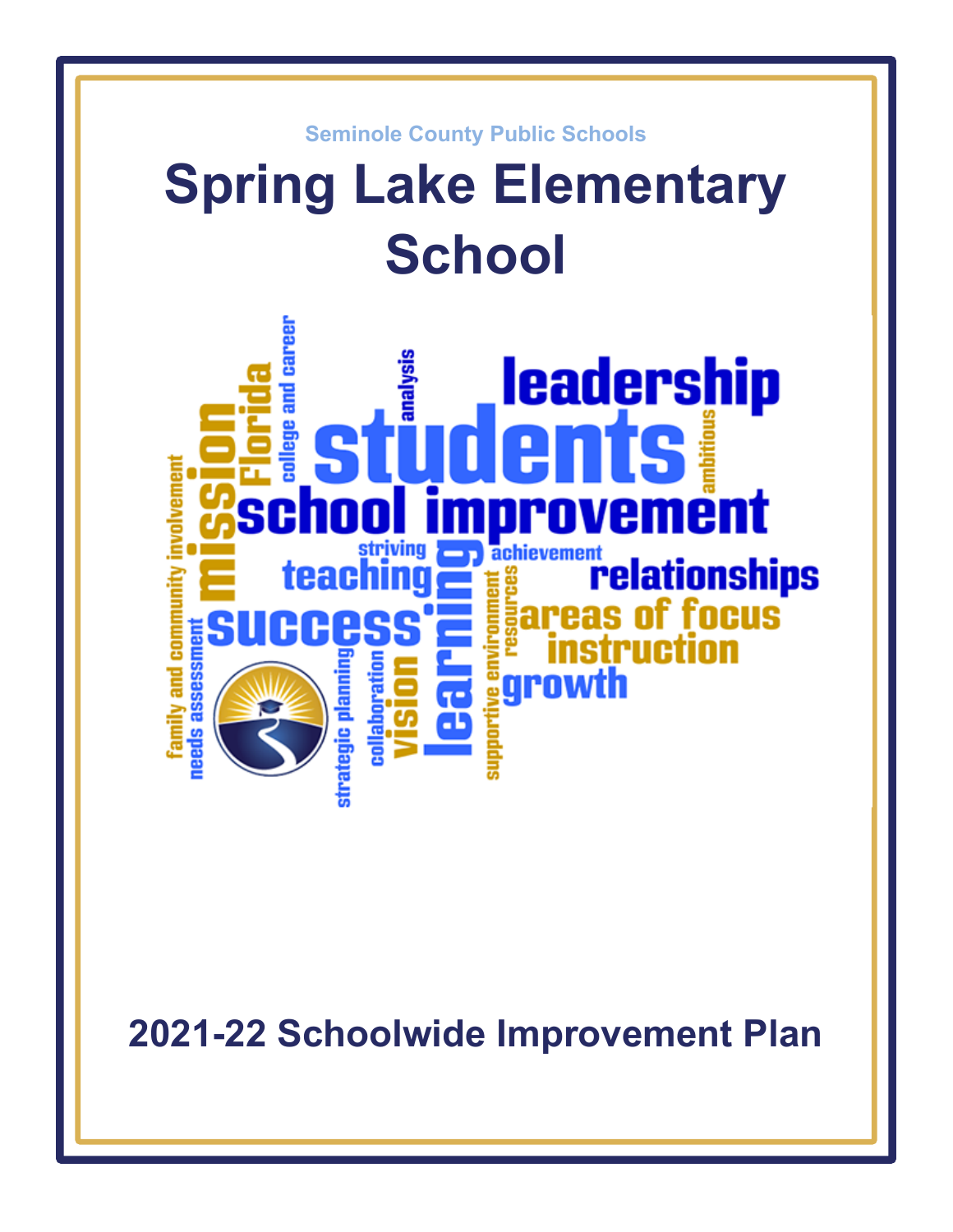

**2021-22 Schoolwide Improvement Plan**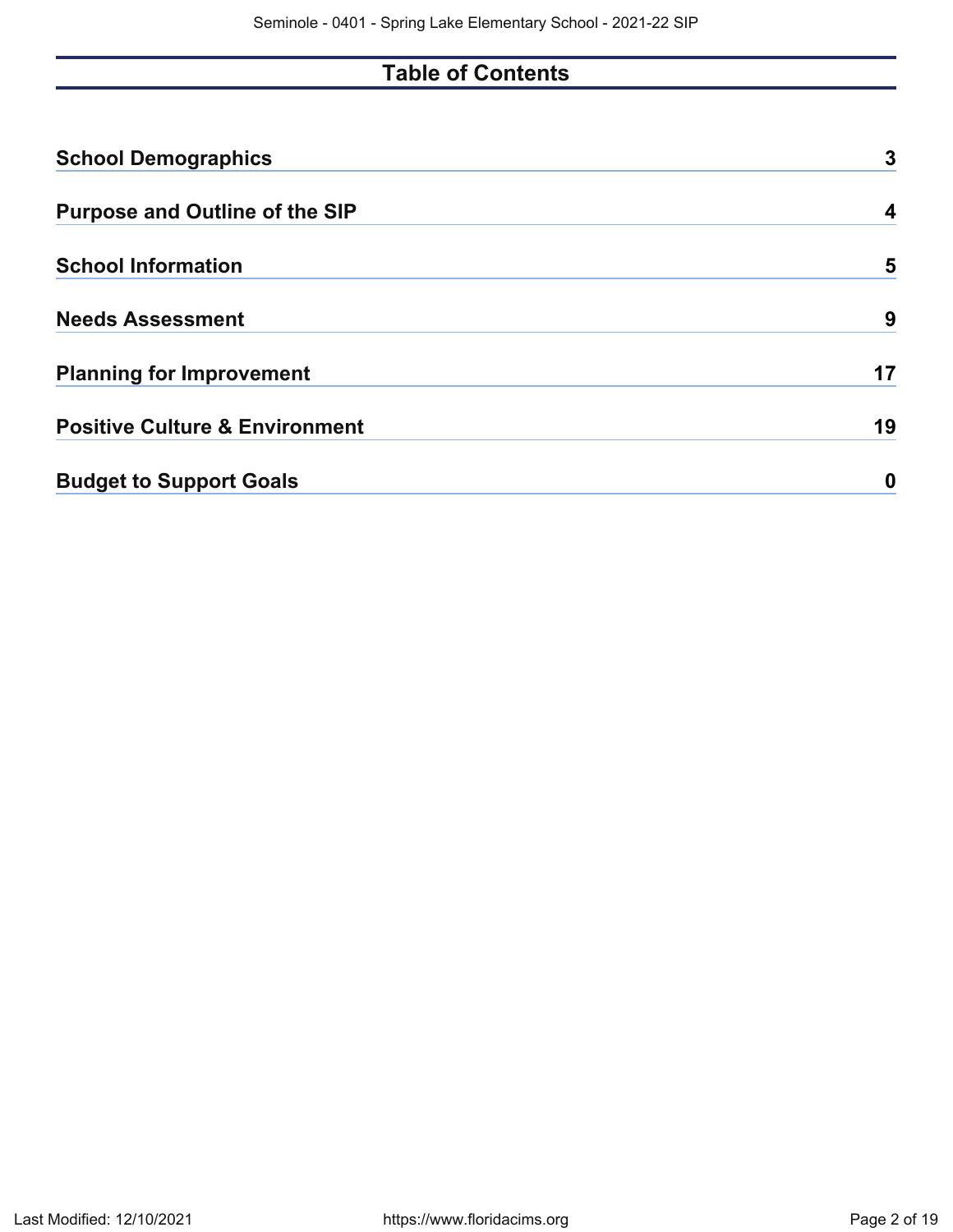# **Table of Contents**

| <b>School Demographics</b>                | 3  |
|-------------------------------------------|----|
| <b>Purpose and Outline of the SIP</b>     | 4  |
| <b>School Information</b>                 | 5  |
| <b>Needs Assessment</b>                   | 9  |
| <b>Planning for Improvement</b>           | 17 |
| <b>Positive Culture &amp; Environment</b> | 19 |
| <b>Budget to Support Goals</b>            | 0  |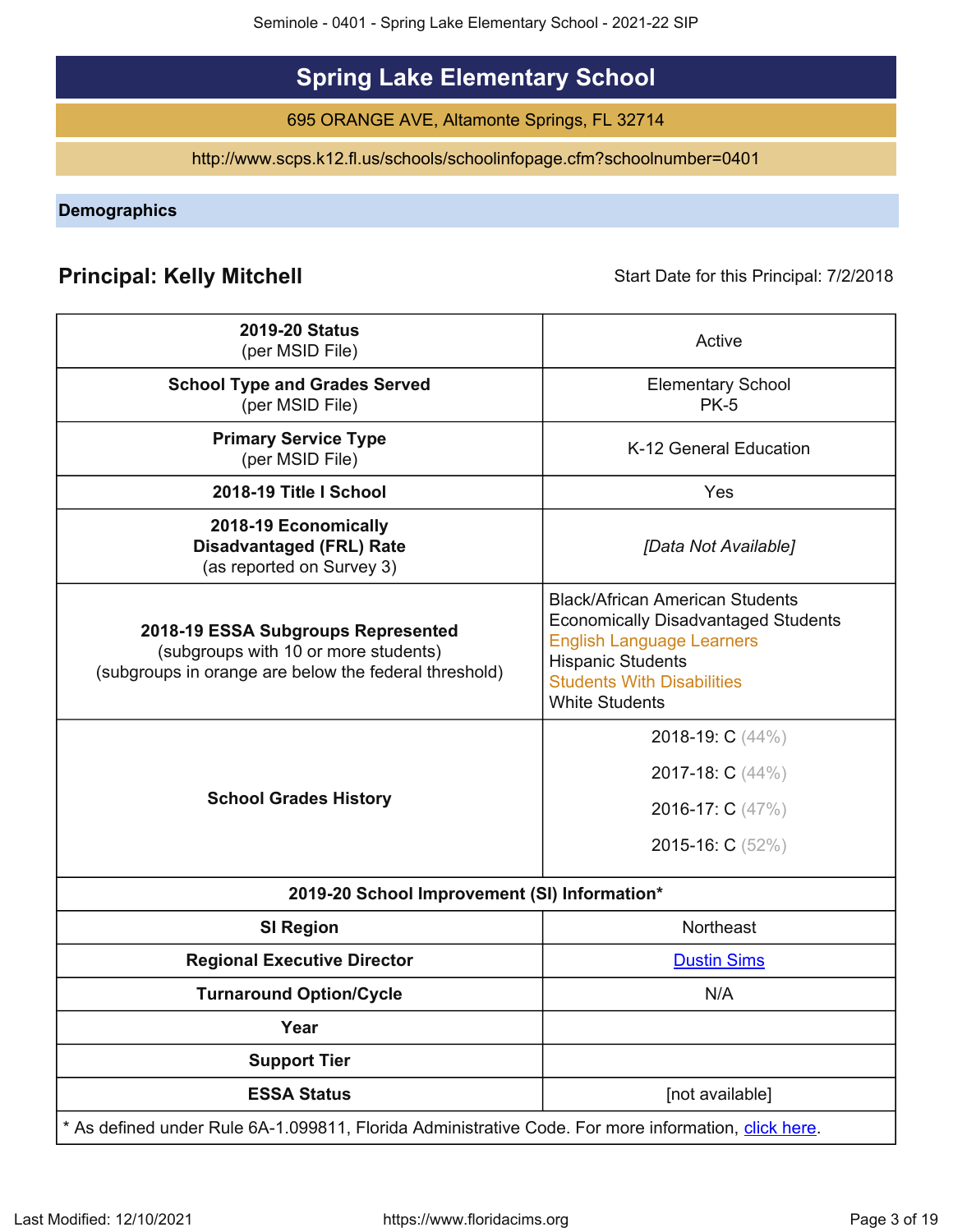# **Spring Lake Elementary School**

695 ORANGE AVE, Altamonte Springs, FL 32714

http://www.scps.k12.fl.us/schools/schoolinfopage.cfm?schoolnumber=0401

<span id="page-2-0"></span>**Demographics**

# **Principal: Kelly Mitchell Start Date for this Principal: 7/2/2018** Start Date for this Principal: 7/2/2018

| <b>2019-20 Status</b><br>(per MSID File)                                                                                            | Active                                                                                                                                                                                                             |
|-------------------------------------------------------------------------------------------------------------------------------------|--------------------------------------------------------------------------------------------------------------------------------------------------------------------------------------------------------------------|
| <b>School Type and Grades Served</b><br>(per MSID File)                                                                             | <b>Elementary School</b><br><b>PK-5</b>                                                                                                                                                                            |
| <b>Primary Service Type</b><br>(per MSID File)                                                                                      | K-12 General Education                                                                                                                                                                                             |
| 2018-19 Title I School                                                                                                              | Yes                                                                                                                                                                                                                |
| 2018-19 Economically<br><b>Disadvantaged (FRL) Rate</b><br>(as reported on Survey 3)                                                | [Data Not Available]                                                                                                                                                                                               |
| 2018-19 ESSA Subgroups Represented<br>(subgroups with 10 or more students)<br>(subgroups in orange are below the federal threshold) | <b>Black/African American Students</b><br><b>Economically Disadvantaged Students</b><br><b>English Language Learners</b><br><b>Hispanic Students</b><br><b>Students With Disabilities</b><br><b>White Students</b> |
| <b>School Grades History</b>                                                                                                        | 2018-19: C (44%)<br>2017-18: C (44%)<br>2016-17: C (47%)<br>2015-16: C (52%)                                                                                                                                       |
| 2019-20 School Improvement (SI) Information*                                                                                        |                                                                                                                                                                                                                    |
| <b>SI Region</b>                                                                                                                    | Northeast                                                                                                                                                                                                          |
| <b>Regional Executive Director</b>                                                                                                  | <b>Dustin Sims</b>                                                                                                                                                                                                 |
| <b>Turnaround Option/Cycle</b>                                                                                                      | N/A                                                                                                                                                                                                                |
| Year                                                                                                                                |                                                                                                                                                                                                                    |
| <b>Support Tier</b>                                                                                                                 |                                                                                                                                                                                                                    |
| <b>ESSA Status</b>                                                                                                                  | [not available]                                                                                                                                                                                                    |
| * As defined under Rule 6A-1.099811, Florida Administrative Code. For more information, click here.                                 |                                                                                                                                                                                                                    |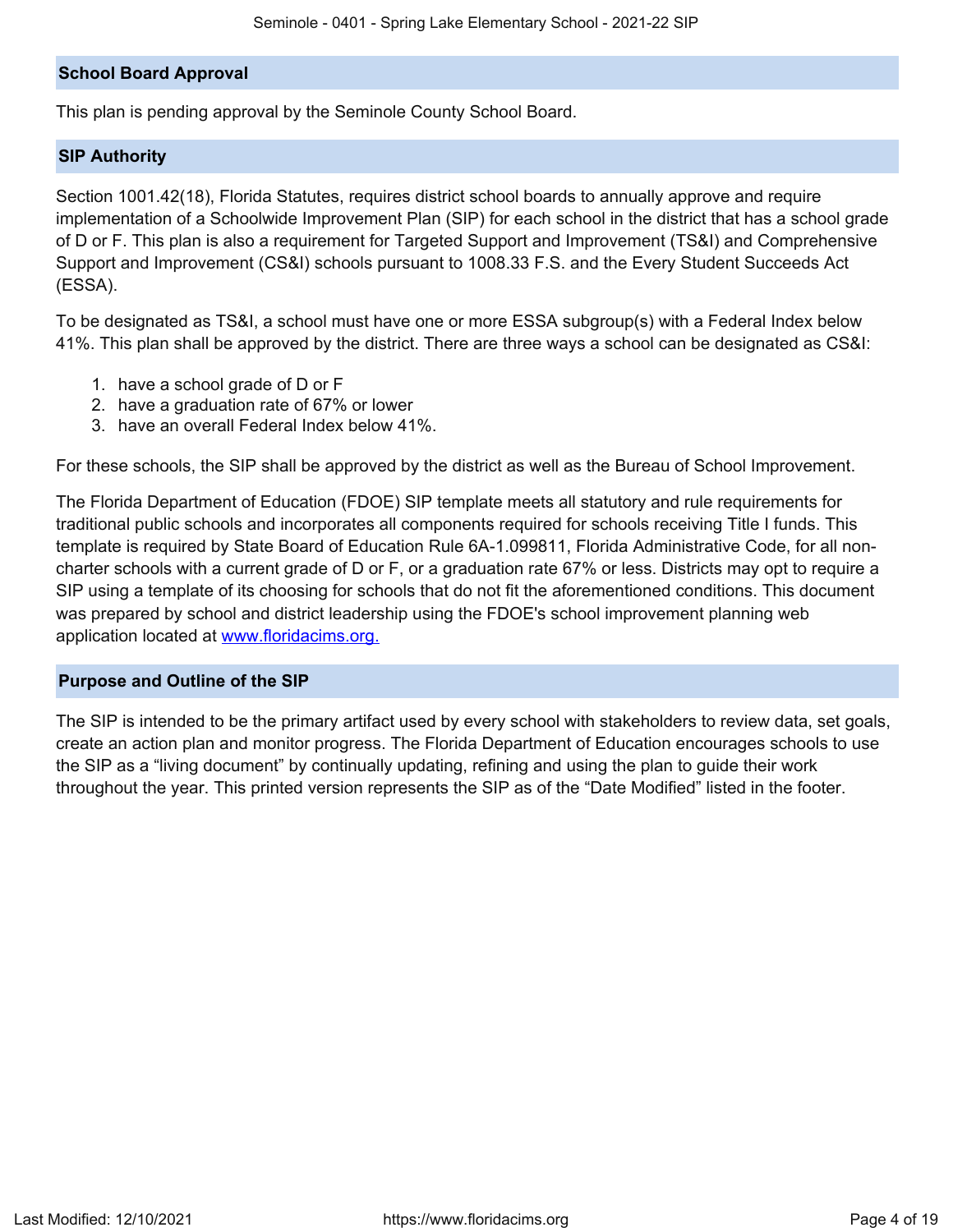## **School Board Approval**

This plan is pending approval by the Seminole County School Board.

### **SIP Authority**

Section 1001.42(18), Florida Statutes, requires district school boards to annually approve and require implementation of a Schoolwide Improvement Plan (SIP) for each school in the district that has a school grade of D or F. This plan is also a requirement for Targeted Support and Improvement (TS&I) and Comprehensive Support and Improvement (CS&I) schools pursuant to 1008.33 F.S. and the Every Student Succeeds Act (ESSA).

To be designated as TS&I, a school must have one or more ESSA subgroup(s) with a Federal Index below 41%. This plan shall be approved by the district. There are three ways a school can be designated as CS&I:

- 1. have a school grade of D or F
- 2. have a graduation rate of 67% or lower
- 3. have an overall Federal Index below 41%.

For these schools, the SIP shall be approved by the district as well as the Bureau of School Improvement.

The Florida Department of Education (FDOE) SIP template meets all statutory and rule requirements for traditional public schools and incorporates all components required for schools receiving Title I funds. This template is required by State Board of Education Rule 6A-1.099811, Florida Administrative Code, for all noncharter schools with a current grade of D or F, or a graduation rate 67% or less. Districts may opt to require a SIP using a template of its choosing for schools that do not fit the aforementioned conditions. This document was prepared by school and district leadership using the FDOE's school improvement planning web application located at [www.floridacims.org.](https://www.floridacims.org)

#### <span id="page-3-0"></span>**Purpose and Outline of the SIP**

The SIP is intended to be the primary artifact used by every school with stakeholders to review data, set goals, create an action plan and monitor progress. The Florida Department of Education encourages schools to use the SIP as a "living document" by continually updating, refining and using the plan to guide their work throughout the year. This printed version represents the SIP as of the "Date Modified" listed in the footer.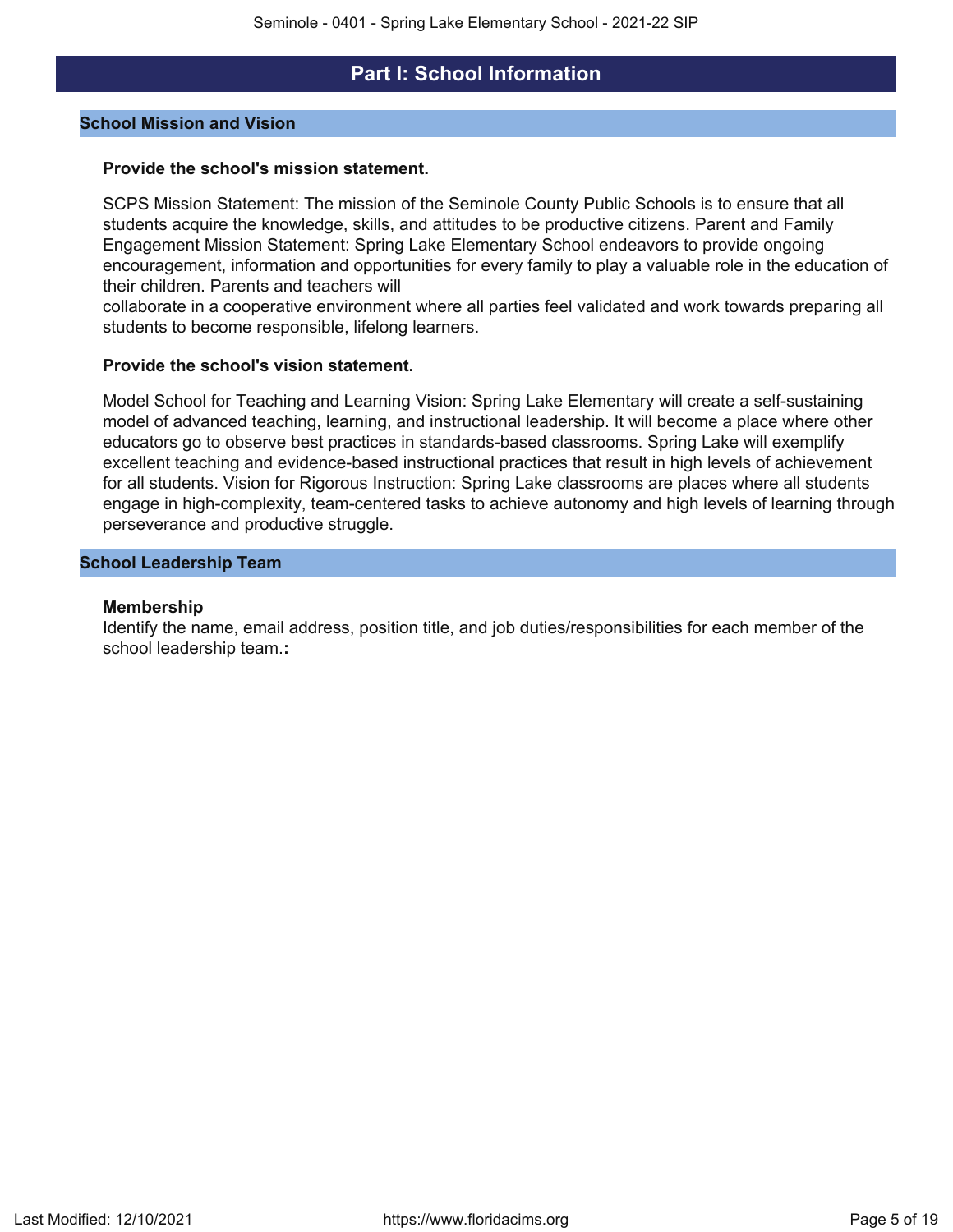## **Part I: School Information**

## <span id="page-4-0"></span>**School Mission and Vision**

### **Provide the school's mission statement.**

SCPS Mission Statement: The mission of the Seminole County Public Schools is to ensure that all students acquire the knowledge, skills, and attitudes to be productive citizens. Parent and Family Engagement Mission Statement: Spring Lake Elementary School endeavors to provide ongoing encouragement, information and opportunities for every family to play a valuable role in the education of their children. Parents and teachers will

collaborate in a cooperative environment where all parties feel validated and work towards preparing all students to become responsible, lifelong learners.

### **Provide the school's vision statement.**

Model School for Teaching and Learning Vision: Spring Lake Elementary will create a self-sustaining model of advanced teaching, learning, and instructional leadership. It will become a place where other educators go to observe best practices in standards-based classrooms. Spring Lake will exemplify excellent teaching and evidence-based instructional practices that result in high levels of achievement for all students. Vision for Rigorous Instruction: Spring Lake classrooms are places where all students engage in high-complexity, team-centered tasks to achieve autonomy and high levels of learning through perseverance and productive struggle.

### **School Leadership Team**

#### **Membership**

Identify the name, email address, position title, and job duties/responsibilities for each member of the school leadership team.**:**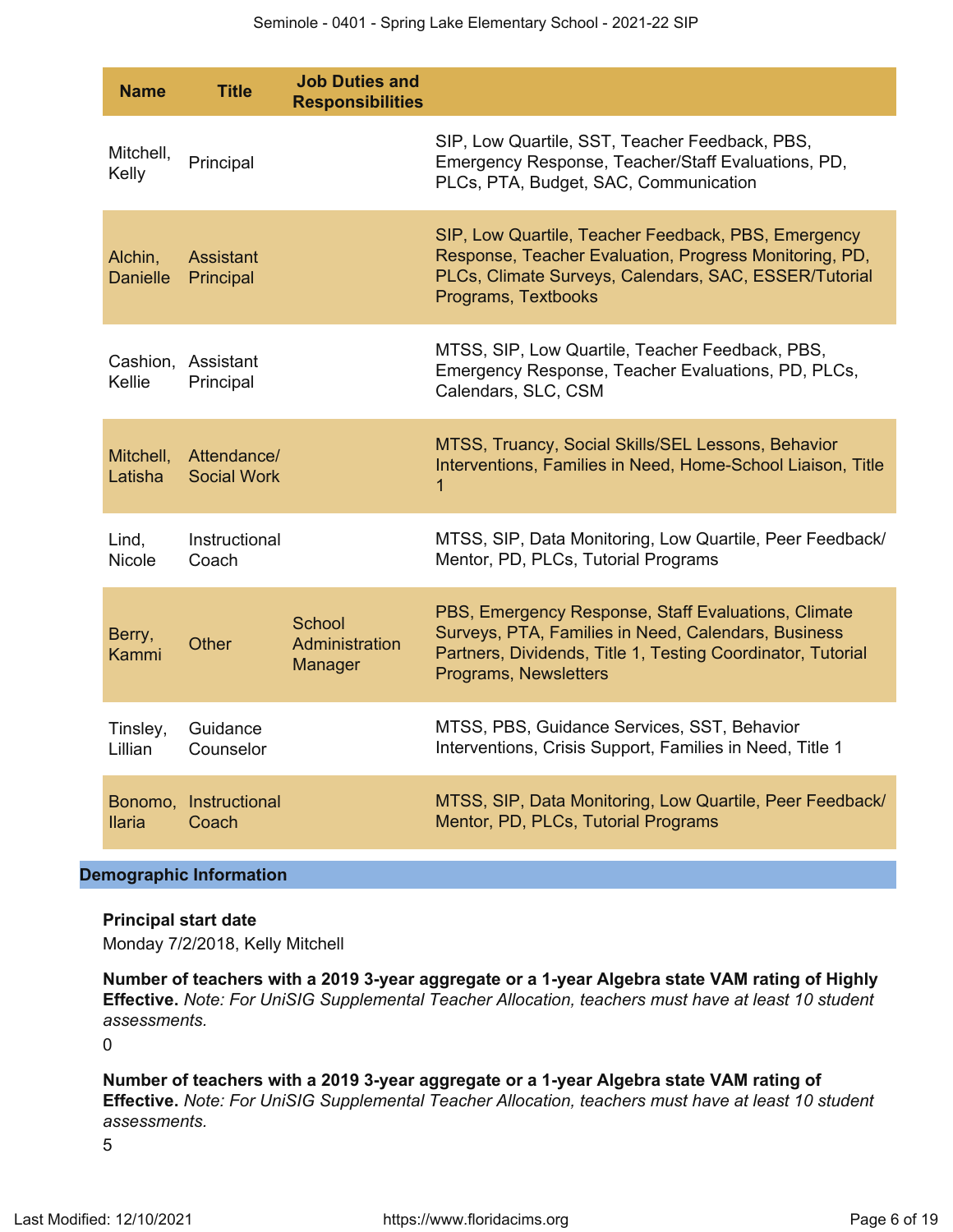| <b>Name</b>                | <b>Title</b>                      | <b>Job Duties and</b><br><b>Responsibilities</b> |                                                                                                                                                                                                    |
|----------------------------|-----------------------------------|--------------------------------------------------|----------------------------------------------------------------------------------------------------------------------------------------------------------------------------------------------------|
| Mitchell,<br>Kelly         | Principal                         |                                                  | SIP, Low Quartile, SST, Teacher Feedback, PBS,<br>Emergency Response, Teacher/Staff Evaluations, PD,<br>PLCs, PTA, Budget, SAC, Communication                                                      |
| Alchin,<br><b>Danielle</b> | <b>Assistant</b><br>Principal     |                                                  | SIP, Low Quartile, Teacher Feedback, PBS, Emergency<br>Response, Teacher Evaluation, Progress Monitoring, PD,<br>PLCs, Climate Surveys, Calendars, SAC, ESSER/Tutorial<br>Programs, Textbooks      |
| Kellie                     | Cashion, Assistant<br>Principal   |                                                  | MTSS, SIP, Low Quartile, Teacher Feedback, PBS,<br>Emergency Response, Teacher Evaluations, PD, PLCs,<br>Calendars, SLC, CSM                                                                       |
| Mitchell,<br>Latisha       | Attendance/<br><b>Social Work</b> |                                                  | MTSS, Truancy, Social Skills/SEL Lessons, Behavior<br>Interventions, Families in Need, Home-School Liaison, Title<br>$\mathbf 1$                                                                   |
| Lind,<br>Nicole            | Instructional<br>Coach            |                                                  | MTSS, SIP, Data Monitoring, Low Quartile, Peer Feedback/<br>Mentor, PD, PLCs, Tutorial Programs                                                                                                    |
| Berry,<br>Kammi            | <b>Other</b>                      | School<br>Administration<br>Manager              | PBS, Emergency Response, Staff Evaluations, Climate<br>Surveys, PTA, Families in Need, Calendars, Business<br>Partners, Dividends, Title 1, Testing Coordinator, Tutorial<br>Programs, Newsletters |
| Tinsley,<br>Lillian        | Guidance<br>Counselor             |                                                  | MTSS, PBS, Guidance Services, SST, Behavior<br>Interventions, Crisis Support, Families in Need, Title 1                                                                                            |
| <b>Ilaria</b>              | Bonomo, Instructional<br>Coach    |                                                  | MTSS, SIP, Data Monitoring, Low Quartile, Peer Feedback/<br>Mentor, PD, PLCs, Tutorial Programs                                                                                                    |

## **Demographic Information**

#### **Principal start date**

Monday 7/2/2018, Kelly Mitchell

**Number of teachers with a 2019 3-year aggregate or a 1-year Algebra state VAM rating of Highly Effective.** *Note: For UniSIG Supplemental Teacher Allocation, teachers must have at least 10 student assessments.*

 $\Omega$ 

**Number of teachers with a 2019 3-year aggregate or a 1-year Algebra state VAM rating of Effective.** *Note: For UniSIG Supplemental Teacher Allocation, teachers must have at least 10 student assessments.*

5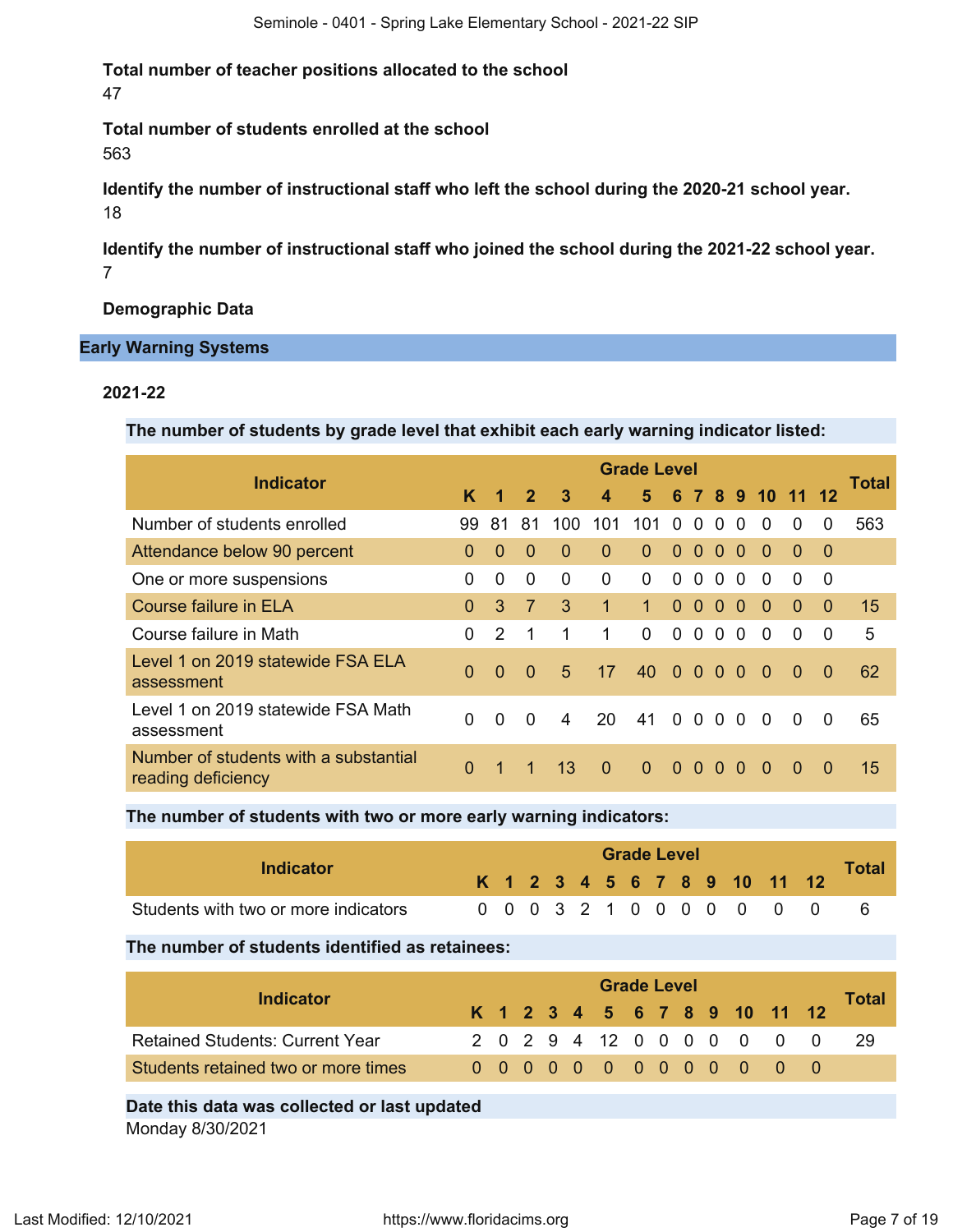**Total number of teacher positions allocated to the school** 47

**Total number of students enrolled at the school** 563

**Identify the number of instructional staff who left the school during the 2020-21 school year.** 18

**Identify the number of instructional staff who joined the school during the 2021-22 school year.** 7

**Demographic Data**

## **Early Warning Systems**

## **2021-22**

**The number of students by grade level that exhibit each early warning indicator listed:**

| <b>Indicator</b>                                            |                |                      |                |                |                         | <b>Grade Level</b> |          |                |          |          |                  |          |          |       |
|-------------------------------------------------------------|----------------|----------------------|----------------|----------------|-------------------------|--------------------|----------|----------------|----------|----------|------------------|----------|----------|-------|
|                                                             | K              | $\blacktriangleleft$ | $\overline{2}$ | $\overline{3}$ | $\overline{\mathbf{4}}$ | 5.                 |          |                |          |          | 6 7 8 9 10 11 12 |          |          | Total |
| Number of students enrolled                                 | 99             | -81                  | 81             | 100.           | 101                     | 101                | $\Omega$ | $\Omega$       | $\Omega$ | $\Omega$ | $\Omega$         | $\Omega$ | 0        | 563   |
| Attendance below 90 percent                                 | $\Omega$       | $\Omega$             | $\Omega$       | $\Omega$       | $\Omega$                | $\Omega$           | $\Omega$ | $\overline{0}$ | $\Omega$ | $\Omega$ | $\Omega$         | 0        | $\Omega$ |       |
| One or more suspensions                                     | 0              | $\Omega$             | 0              | $\Omega$       | 0                       | $\overline{0}$     | $\Omega$ | $\Omega$       | $\Omega$ | $\Omega$ | $\Omega$         | 0        | $\Omega$ |       |
| <b>Course failure in ELA</b>                                | $\Omega$       | 3                    | $\overline{7}$ | 3              | 1                       | $\mathbf{1}$       | $\Omega$ | $\Omega$       | $\Omega$ | $\Omega$ | $\Omega$         | $\Omega$ | $\Omega$ | 15    |
| Course failure in Math                                      | $\Omega$       | $\mathcal{P}$        | 1              | 1              | 1                       | $\mathbf 0$        | $\Omega$ | $\Omega$       | 0        | $\Omega$ | $\Omega$         | 0        | $\Omega$ | 5     |
| Level 1 on 2019 statewide FSA ELA<br>assessment             | $\overline{0}$ | $\Omega$             | $\Omega$       | $\overline{5}$ | 17                      | 40                 | $\Omega$ | $\mathbf{0}$   | $\Omega$ | $\Omega$ | $\Omega$         | $\Omega$ | $\Omega$ | 62    |
| Level 1 on 2019 statewide FSA Math<br>assessment            | 0              | $\Omega$             | $\Omega$       | 4              | 20                      | 41                 |          | 0 <sub>0</sub> | $\Omega$ | $\Omega$ | $\Omega$         | $\Omega$ | $\Omega$ | 65    |
| Number of students with a substantial<br>reading deficiency | $\Omega$       | $\blacktriangleleft$ |                | 13             | $\Omega$                | $\Omega$           |          | 0 <sub>0</sub> | $\Omega$ | $\Omega$ | $\Omega$         | $\Omega$ | $\Omega$ | 15    |

**The number of students with two or more early warning indicators:**

| Indicator                            |  |  |  | <b>Grade Level</b> |  |  |                              |              |
|--------------------------------------|--|--|--|--------------------|--|--|------------------------------|--------------|
|                                      |  |  |  |                    |  |  | K 1 2 3 4 5 6 7 8 9 10 11 12 | <b>Total</b> |
| Students with two or more indicators |  |  |  |                    |  |  | 0 0 0 3 2 1 0 0 0 0 0 0 0    |              |

**The number of students identified as retainees:**

| Indicator                              | <b>Grade Level</b><br>K 1 2 3 4 5 6 7 8 9 10 11 12 |  |  |  |  |  |  |  |  |  |  |                            |  |       |  |
|----------------------------------------|----------------------------------------------------|--|--|--|--|--|--|--|--|--|--|----------------------------|--|-------|--|
|                                        |                                                    |  |  |  |  |  |  |  |  |  |  |                            |  | Total |  |
| <b>Retained Students: Current Year</b> |                                                    |  |  |  |  |  |  |  |  |  |  | 2 0 2 9 4 12 0 0 0 0 0 0 0 |  | -29   |  |
| Students retained two or more times    |                                                    |  |  |  |  |  |  |  |  |  |  | 0000000000000              |  |       |  |
|                                        |                                                    |  |  |  |  |  |  |  |  |  |  |                            |  |       |  |

**Date this data was collected or last updated**

Monday 8/30/2021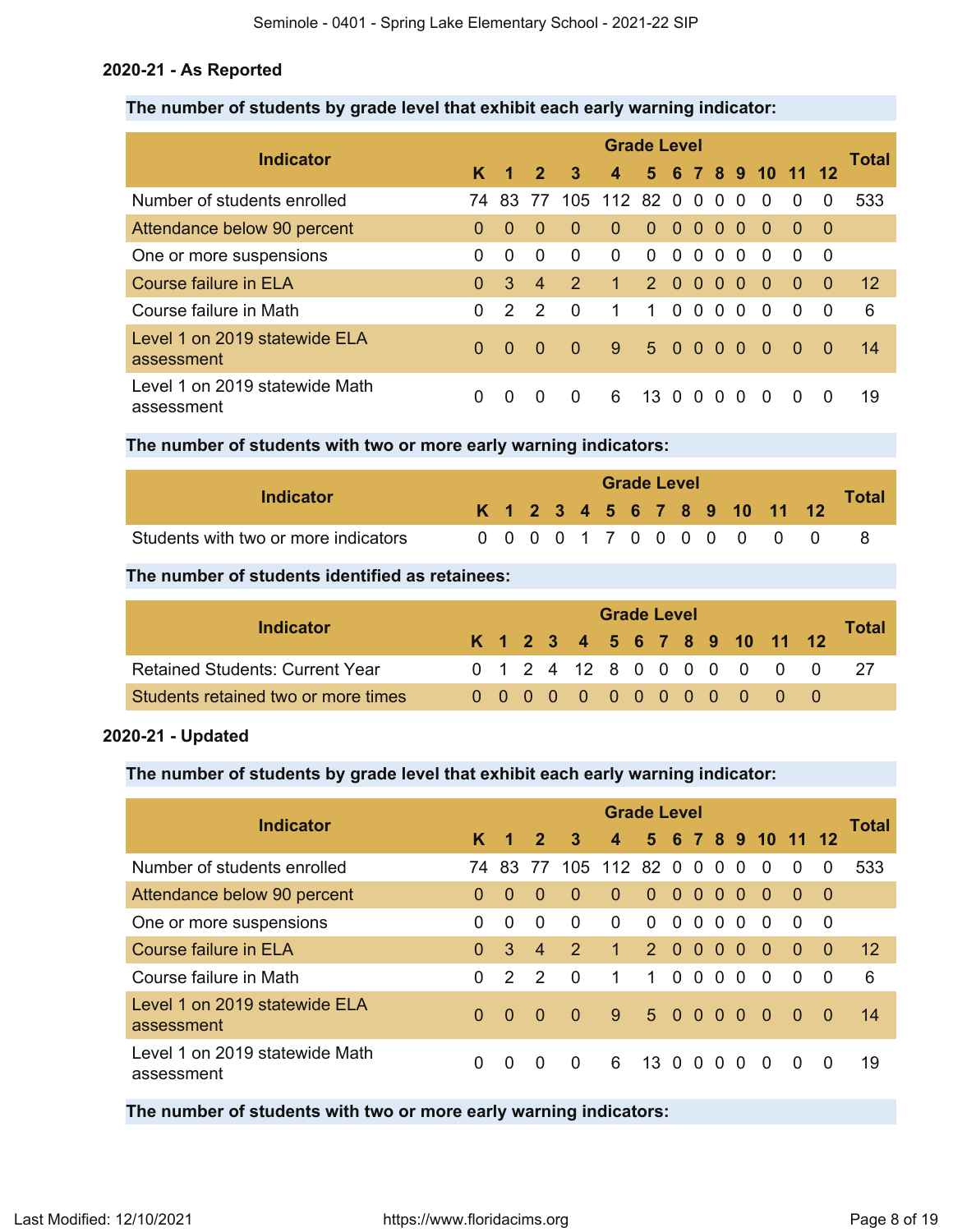## **2020-21 - As Reported**

## **The number of students by grade level that exhibit each early warning indicator:**

|                                              |          |               |                |                         | <b>Grade Level</b>      |                |          |                |                |          |                                      |          |                |       |
|----------------------------------------------|----------|---------------|----------------|-------------------------|-------------------------|----------------|----------|----------------|----------------|----------|--------------------------------------|----------|----------------|-------|
| <b>Indicator</b>                             | K.       | 1             | $\overline{2}$ | $\overline{\mathbf{3}}$ | $\overline{\mathbf{4}}$ |                |          |                |                |          | 5 6 7 8 9 10 11                      |          | 12             | Total |
| Number of students enrolled                  | 74       | 83 77         |                |                         | 105 112 82 0            |                |          | $\Omega$       | $\Omega$       | $\Omega$ | $\Omega$                             | $\Omega$ | $\Omega$       | 533   |
| Attendance below 90 percent                  | $\Omega$ | $\Omega$      | $\Omega$       | $\Omega$                | $\Omega$                | $\Omega$       | $\Omega$ | $\Omega$       | $\Omega$       | $\Omega$ | $\Omega$                             | $\Omega$ | -0             |       |
| One or more suspensions                      | 0        | $\Omega$      | $\Omega$       | $\Omega$                | 0                       | $\Omega$       | $\Omega$ | $\Omega$       | $\Omega$       | $\Omega$ | $\Omega$                             | $\Omega$ | - 0            |       |
| <b>Course failure in ELA</b>                 | $\Omega$ | 3             | $\overline{4}$ | $\mathcal{P}$           | $\mathbf{1}$            | 2 <sup>1</sup> | $\Omega$ | $\Omega$       | $\Omega$       | $\Omega$ | $\Omega$                             | $\Omega$ | $\overline{0}$ | 12    |
| Course failure in Math                       | 0        | $\mathcal{P}$ | $\mathcal{P}$  | $\Omega$                | 1                       | 1.             | $\Omega$ | $\overline{0}$ | $\Omega$       | $\Omega$ | $\Omega$                             | $\Omega$ | $\overline{0}$ | 6     |
| Level 1 on 2019 statewide ELA<br>assessment  | $\Omega$ | $\Omega$      | $\Omega$       | $\Omega$                | 9                       | 5 0 0          |          |                | 0 <sub>0</sub> |          | $\left\langle \bullet \right\rangle$ | - 0      | - 0            | 14    |
| Level 1 on 2019 statewide Math<br>assessment | 0        | 0             | $\Omega$       | 0                       | 6                       | 13 0           |          | $\Omega$       | $\Omega$       | $\Omega$ | $\Omega$                             | $\Omega$ | $\Omega$       | 19    |

**The number of students with two or more early warning indicators:**

| Indicator                            |  |  |  |  | <b>Grade Level</b> |  |                              |              |
|--------------------------------------|--|--|--|--|--------------------|--|------------------------------|--------------|
|                                      |  |  |  |  |                    |  | K 1 2 3 4 5 6 7 8 9 10 11 12 | <b>Total</b> |
| Students with two or more indicators |  |  |  |  |                    |  | 0 0 0 0 1 7 0 0 0 0 0 0 0    |              |

**The number of students identified as retainees:**

|                                        | <b>Grade Level</b> |  |  |  |  |  |  |  |  |  |                              |  |                            |       |  |
|----------------------------------------|--------------------|--|--|--|--|--|--|--|--|--|------------------------------|--|----------------------------|-------|--|
| Indicator                              |                    |  |  |  |  |  |  |  |  |  | K 1 2 3 4 5 6 7 8 9 10 11 12 |  |                            | Total |  |
| <b>Retained Students: Current Year</b> |                    |  |  |  |  |  |  |  |  |  |                              |  | 0 1 2 4 12 8 0 0 0 0 0 0 0 |       |  |
| Students retained two or more times    |                    |  |  |  |  |  |  |  |  |  | 0 0 0 0 0 0 0 0 0 0 0 0      |  |                            |       |  |

## **2020-21 - Updated**

## **The number of students by grade level that exhibit each early warning indicator:**

| <b>Indicator</b>                             | <b>Grade Level</b> |               |                |               |                         |                |          |          |           |          |                 |          |                |       |  |
|----------------------------------------------|--------------------|---------------|----------------|---------------|-------------------------|----------------|----------|----------|-----------|----------|-----------------|----------|----------------|-------|--|
|                                              | K                  | 1             | $\mathbf{2}$   | $\mathbf{3}$  | $\overline{\mathbf{4}}$ |                |          |          |           |          | 5 6 7 8 9 10 11 |          | -12            | Total |  |
| Number of students enrolled                  | 74 -               | -83           | -77            |               | 105 112 82 0 0 0        |                |          |          |           | $\Omega$ | $\Omega$        | $\Omega$ | $\Omega$       | 533   |  |
| Attendance below 90 percent                  | 0                  | 0             | $\Omega$       | $\Omega$      | $\Omega$                | $\Omega$       | $\Omega$ | $\Omega$ | $\bullet$ | $\Omega$ | $\Omega$        | $\Omega$ | -0             |       |  |
| One or more suspensions                      | 0                  | $\Omega$      | $\Omega$       | $\Omega$      | $\Omega$                | $\Omega$       | $\Omega$ | $\Omega$ | - 0       | $\Omega$ | 0               | $\Omega$ | 0              |       |  |
| Course failure in ELA                        | 0                  | 3             | $\overline{4}$ | $\mathcal{P}$ | $\mathbf{1}$            | 2 <sup>1</sup> | $\Omega$ | $\Omega$ | $\Omega$  | $\Omega$ | $\Omega$        | $\Omega$ | $\Omega$       | 12    |  |
| Course failure in Math                       | 0                  | $\mathcal{P}$ | $\mathcal{P}$  | $\Omega$      | 1                       | $\overline{1}$ | $\Omega$ | $\Omega$ | - 0       | $\Omega$ | $\Omega$        | $\Omega$ | $\overline{0}$ | 6     |  |
| Level 1 on 2019 statewide ELA<br>assessment  | $\Omega$           | $\Omega$      | 0              | $\Omega$      | $\overline{9}$          | 5 0 0 0 0      |          |          |           |          | $\overline{0}$  | - 0      | $\Omega$       | 14    |  |
| Level 1 on 2019 statewide Math<br>assessment | 0                  | 0             | $\Omega$       | $\Omega$      | 6                       | $13 \Omega$    |          | $\Omega$ | $\Omega$  | $\Omega$ | $\Omega$        | $\Omega$ | $\Omega$       | 19    |  |

**The number of students with two or more early warning indicators:**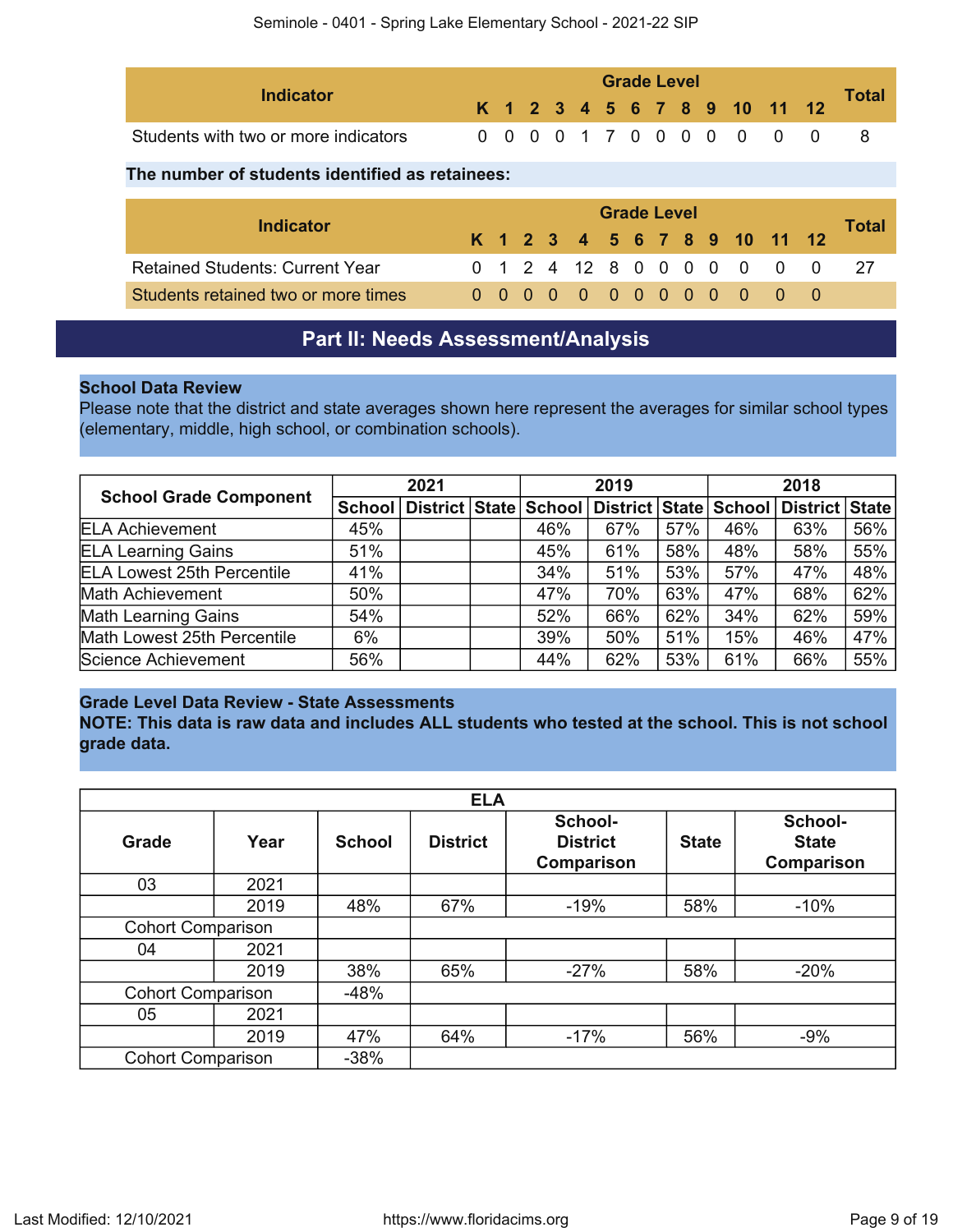| Indicator                            |  |  |  | <b>Grade Level</b> |  |  |                              |              |
|--------------------------------------|--|--|--|--------------------|--|--|------------------------------|--------------|
|                                      |  |  |  |                    |  |  | K 1 2 3 4 5 6 7 8 9 10 11 12 | <b>Total</b> |
| Students with two or more indicators |  |  |  |                    |  |  | 0 0 0 0 1 7 0 0 0 0 0 0 0    |              |

## **The number of students identified as retainees:**

| <b>Indicator</b>                       | <b>Grade Level</b> |  |  |  |  |  |  |  |  |  |                              |  |                            |       |  |
|----------------------------------------|--------------------|--|--|--|--|--|--|--|--|--|------------------------------|--|----------------------------|-------|--|
|                                        |                    |  |  |  |  |  |  |  |  |  | K 1 2 3 4 5 6 7 8 9 10 11 12 |  |                            | Total |  |
| <b>Retained Students: Current Year</b> |                    |  |  |  |  |  |  |  |  |  |                              |  | 0 1 2 4 12 8 0 0 0 0 0 0 0 |       |  |
| Students retained two or more times    |                    |  |  |  |  |  |  |  |  |  | 0 0 0 0 0 0 0 0 0 0 0 0 0    |  |                            |       |  |

## **Part II: Needs Assessment/Analysis**

## <span id="page-8-0"></span>**School Data Review**

Please note that the district and state averages shown here represent the averages for similar school types (elementary, middle, high school, or combination schools).

|                                   | 2021 |  |  | 2019 |                                                                |     | 2018 |                |     |
|-----------------------------------|------|--|--|------|----------------------------------------------------------------|-----|------|----------------|-----|
| <b>School Grade Component</b>     |      |  |  |      | School   District   State   School   District   State   School |     |      | District State |     |
| <b>ELA Achievement</b>            | 45%  |  |  | 46%  | 67%                                                            | 57% | 46%  | 63%            | 56% |
| <b>ELA Learning Gains</b>         | 51%  |  |  | 45%  | 61%                                                            | 58% | 48%  | 58%            | 55% |
| <b>ELA Lowest 25th Percentile</b> | 41%  |  |  | 34%  | 51%                                                            | 53% | 57%  | 47%            | 48% |
| <b>Math Achievement</b>           | 50%  |  |  | 47%  | 70%                                                            | 63% | 47%  | 68%            | 62% |
| <b>Math Learning Gains</b>        | 54%  |  |  | 52%  | 66%                                                            | 62% | 34%  | 62%            | 59% |
| Math Lowest 25th Percentile       | 6%   |  |  | 39%  | 50%                                                            | 51% | 15%  | 46%            | 47% |
| Science Achievement               | 56%  |  |  | 44%  | 62%                                                            | 53% | 61%  | 66%            | 55% |

## **Grade Level Data Review - State Assessments**

**NOTE: This data is raw data and includes ALL students who tested at the school. This is not school grade data.**

|                          |      |               | <b>ELA</b>      |                                          |              |                                       |
|--------------------------|------|---------------|-----------------|------------------------------------------|--------------|---------------------------------------|
| <b>Grade</b>             | Year | <b>School</b> | <b>District</b> | School-<br><b>District</b><br>Comparison | <b>State</b> | School-<br><b>State</b><br>Comparison |
| 03                       | 2021 |               |                 |                                          |              |                                       |
|                          | 2019 | 48%           | 67%             | $-19%$                                   | 58%          | $-10%$                                |
| <b>Cohort Comparison</b> |      |               |                 |                                          |              |                                       |
| 04                       | 2021 |               |                 |                                          |              |                                       |
|                          | 2019 | 38%           | 65%             | $-27%$                                   | 58%          | $-20%$                                |
| <b>Cohort Comparison</b> |      | $-48%$        |                 |                                          |              |                                       |
| 05                       | 2021 |               |                 |                                          |              |                                       |
|                          | 2019 | 47%           | 64%             | $-17%$                                   | 56%          | $-9%$                                 |
| <b>Cohort Comparison</b> |      | $-38%$        |                 |                                          |              |                                       |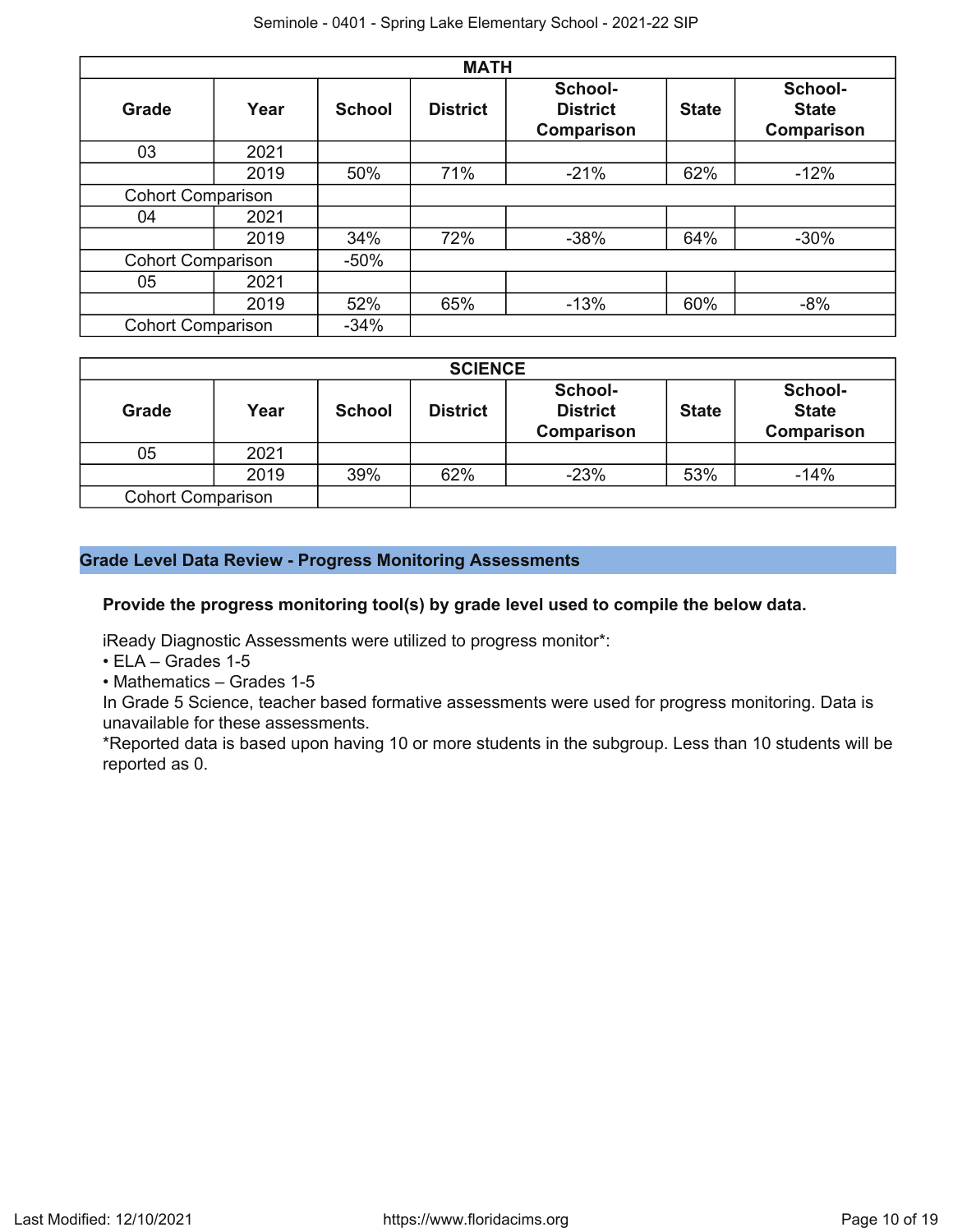|                          |      |               | <b>MATH</b>     |                                                 |              |                                       |
|--------------------------|------|---------------|-----------------|-------------------------------------------------|--------------|---------------------------------------|
| <b>Grade</b>             | Year | <b>School</b> | <b>District</b> | School-<br><b>District</b><br><b>Comparison</b> | <b>State</b> | School-<br><b>State</b><br>Comparison |
| 03                       | 2021 |               |                 |                                                 |              |                                       |
|                          | 2019 | 50%           | 71%             | $-21%$                                          | 62%          | $-12%$                                |
| <b>Cohort Comparison</b> |      |               |                 |                                                 |              |                                       |
| 04                       | 2021 |               |                 |                                                 |              |                                       |
|                          | 2019 | 34%           | 72%             | $-38%$                                          | 64%          | $-30%$                                |
| <b>Cohort Comparison</b> |      | $-50%$        |                 |                                                 |              |                                       |
| 05                       | 2021 |               |                 |                                                 |              |                                       |
|                          | 2019 | 52%           | 65%             | $-13%$                                          | 60%          | $-8%$                                 |
| <b>Cohort Comparison</b> |      | $-34%$        |                 |                                                 |              |                                       |

|                          |      |               | <b>SCIENCE</b>  |                                                 |              |                                              |
|--------------------------|------|---------------|-----------------|-------------------------------------------------|--------------|----------------------------------------------|
| Grade                    | Year | <b>School</b> | <b>District</b> | School-<br><b>District</b><br><b>Comparison</b> | <b>State</b> | School-<br><b>State</b><br><b>Comparison</b> |
| 05                       | 2021 |               |                 |                                                 |              |                                              |
|                          | 2019 | 39%           | 62%             | $-23%$                                          | 53%          | $-14%$                                       |
| <b>Cohort Comparison</b> |      |               |                 |                                                 |              |                                              |

## **Grade Level Data Review - Progress Monitoring Assessments**

**Provide the progress monitoring tool(s) by grade level used to compile the below data.**

iReady Diagnostic Assessments were utilized to progress monitor\*:

• ELA – Grades 1-5

• Mathematics – Grades 1-5

In Grade 5 Science, teacher based formative assessments were used for progress monitoring. Data is unavailable for these assessments.

\*Reported data is based upon having 10 or more students in the subgroup. Less than 10 students will be reported as 0.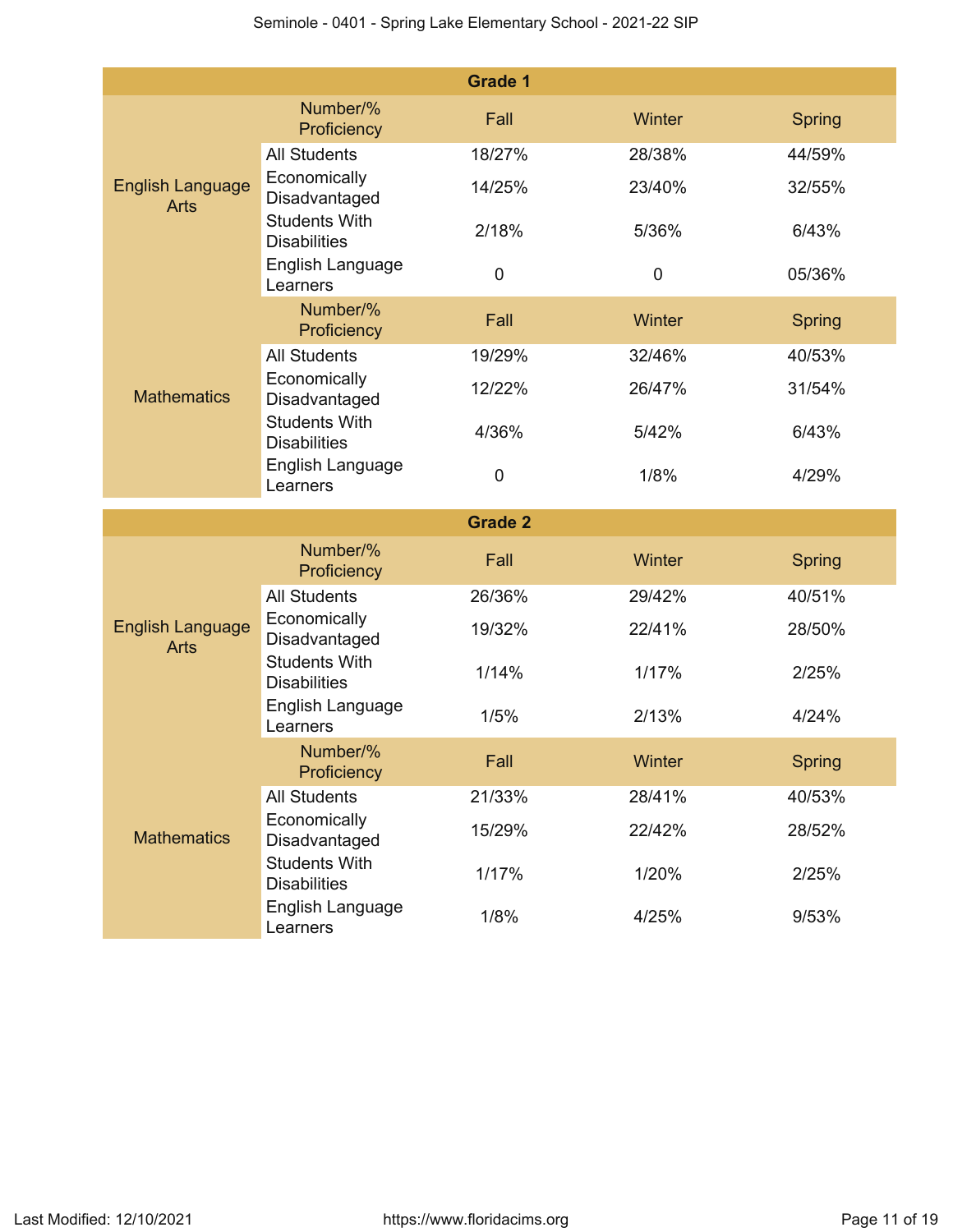|                                        |                                                                 | <b>Grade 1</b> |        |               |
|----------------------------------------|-----------------------------------------------------------------|----------------|--------|---------------|
|                                        | Number/%<br>Proficiency                                         | Fall           | Winter | Spring        |
| <b>English Language</b><br><b>Arts</b> | <b>All Students</b>                                             | 18/27%         | 28/38% | 44/59%        |
|                                        | Economically<br>Disadvantaged                                   | 14/25%         | 23/40% | 32/55%        |
|                                        | <b>Students With</b><br><b>Disabilities</b>                     | 2/18%          | 5/36%  | 6/43%         |
|                                        | English Language<br>Learners                                    | $\mathbf 0$    | 0      | 05/36%        |
|                                        | Number/%<br>Proficiency                                         | Fall           | Winter | <b>Spring</b> |
|                                        | <b>All Students</b>                                             | 19/29%         | 32/46% | 40/53%        |
| <b>Mathematics</b>                     | Economically<br>Disadvantaged                                   | 12/22%         | 26/47% | 31/54%        |
|                                        | <b>Students With</b><br><b>Disabilities</b>                     | 4/36%          | 5/42%  | 6/43%         |
|                                        | English Language<br>Learners                                    | $\mathbf 0$    | 1/8%   | 4/29%         |
|                                        |                                                                 |                |        |               |
|                                        |                                                                 | <b>Grade 2</b> |        |               |
|                                        | Number/%<br>Proficiency                                         | Fall           | Winter | <b>Spring</b> |
|                                        | <b>All Students</b>                                             | 26/36%         | 29/42% | 40/51%        |
| <b>English Language</b><br><b>Arts</b> | Economically<br>Disadvantaged                                   | 19/32%         | 22/41% | 28/50%        |
|                                        | <b>Students With</b><br><b>Disabilities</b>                     | 1/14%          | 1/17%  | 2/25%         |
|                                        | English Language<br>Learners                                    | 1/5%           | 2/13%  | 4/24%         |
|                                        | Number/%<br>Proficiency                                         | Fall           | Winter | <b>Spring</b> |
|                                        | <b>All Students</b>                                             | 21/33%         | 28/41% | 40/53%        |
| <b>Mathematics</b>                     | Economically<br>Disadvantaged                                   | 15/29%         | 22/42% | 28/52%        |
|                                        | <b>Students With</b><br><b>Disabilities</b><br>English Language | 1/17%          | 1/20%  | 2/25%         |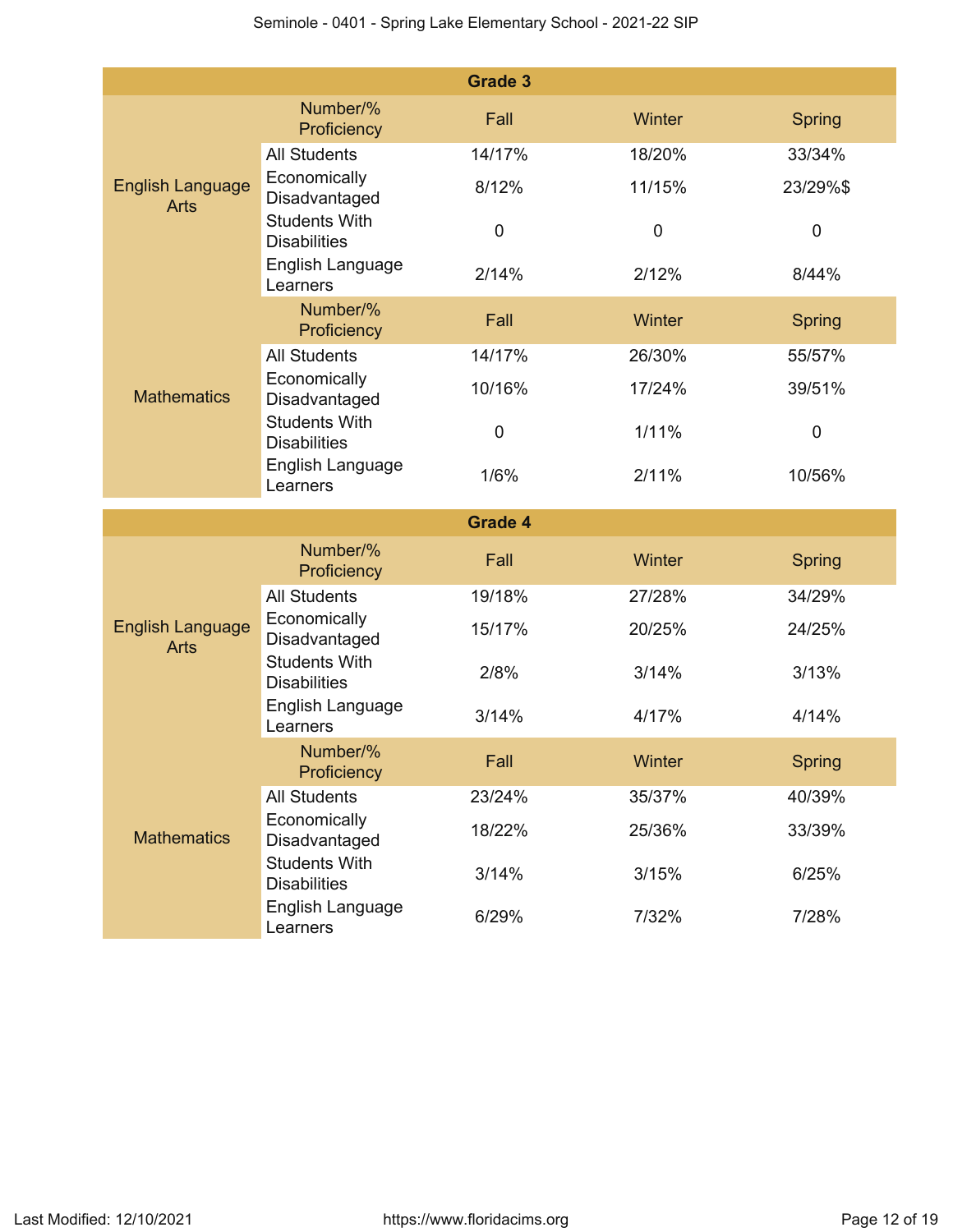|                                        |                                                                 | <b>Grade 3</b> |             |               |
|----------------------------------------|-----------------------------------------------------------------|----------------|-------------|---------------|
|                                        | Number/%<br>Proficiency                                         | Fall           | Winter      | Spring        |
| <b>English Language</b><br><b>Arts</b> | <b>All Students</b>                                             | 14/17%         | 18/20%      | 33/34%        |
|                                        | Economically<br>Disadvantaged                                   | 8/12%          | 11/15%      | 23/29%\$      |
|                                        | <b>Students With</b><br><b>Disabilities</b>                     | $\mathbf 0$    | $\mathbf 0$ | $\mathbf 0$   |
|                                        | English Language<br>Learners                                    | 2/14%          | 2/12%       | 8/44%         |
|                                        | Number/%<br>Proficiency                                         | Fall           | Winter      | <b>Spring</b> |
|                                        | <b>All Students</b>                                             | 14/17%         | 26/30%      | 55/57%        |
| <b>Mathematics</b>                     | Economically<br>Disadvantaged                                   | 10/16%         | 17/24%      | 39/51%        |
|                                        | <b>Students With</b><br><b>Disabilities</b>                     | $\pmb{0}$      | $1/11\%$    | 0             |
|                                        | English Language<br>Learners                                    | 1/6%           | 2/11%       | 10/56%        |
|                                        |                                                                 |                |             |               |
|                                        |                                                                 | <b>Grade 4</b> |             |               |
|                                        | Number/%<br>Proficiency                                         | Fall           | Winter      | <b>Spring</b> |
|                                        | <b>All Students</b>                                             | 19/18%         | 27/28%      | 34/29%        |
| <b>English Language</b><br><b>Arts</b> | Economically<br>Disadvantaged                                   | 15/17%         | 20/25%      | 24/25%        |
|                                        | <b>Students With</b><br><b>Disabilities</b>                     | 2/8%           | 3/14%       | 3/13%         |
|                                        | English Language<br>Learners                                    | 3/14%          | 4/17%       | 4/14%         |
|                                        | Number/%<br>Proficiency                                         | Fall           | Winter      | <b>Spring</b> |
|                                        | <b>All Students</b>                                             | 23/24%         | 35/37%      | 40/39%        |
| <b>Mathematics</b>                     | Economically<br>Disadvantaged                                   | 18/22%         | 25/36%      | 33/39%        |
|                                        | <b>Students With</b><br><b>Disabilities</b><br>English Language | 3/14%          | 3/15%       | 6/25%         |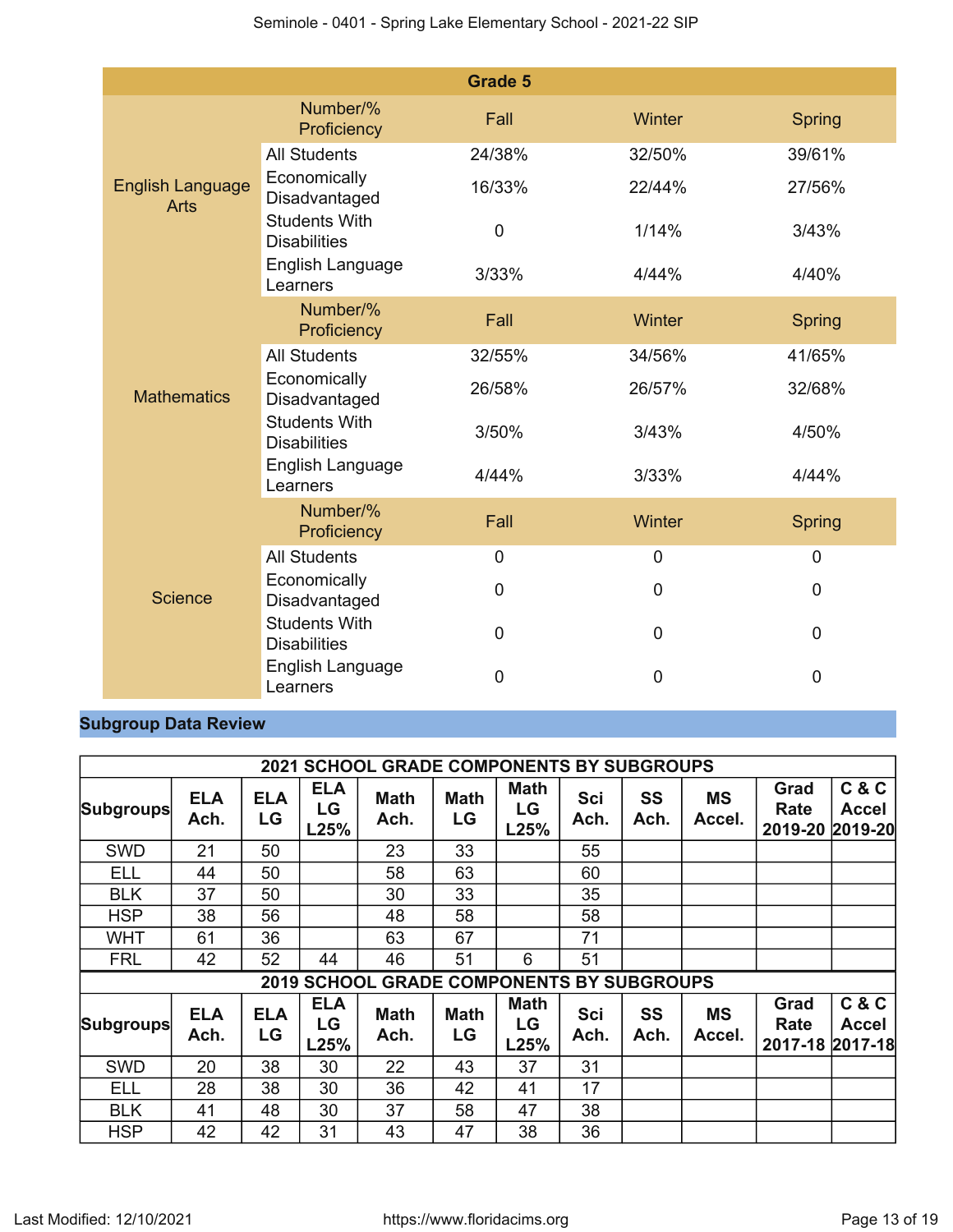|                                        |                                             | <b>Grade 5</b> |                |                |
|----------------------------------------|---------------------------------------------|----------------|----------------|----------------|
|                                        | Number/%<br>Proficiency                     | Fall           | Winter         | <b>Spring</b>  |
| <b>English Language</b><br><b>Arts</b> | <b>All Students</b>                         | 24/38%         | 32/50%         | 39/61%         |
|                                        | Economically<br>Disadvantaged               | 16/33%         | 22/44%         | 27/56%         |
|                                        | <b>Students With</b><br><b>Disabilities</b> | $\mathbf 0$    | 1/14%          | 3/43%          |
|                                        | English Language<br>Learners                | 3/33%          | 4/44%          | 4/40%          |
|                                        | Number/%<br>Proficiency                     | Fall           | Winter         | Spring         |
|                                        | <b>All Students</b>                         | 32/55%         | 34/56%         | 41/65%         |
| <b>Mathematics</b>                     | Economically<br>Disadvantaged               | 26/58%         | 26/57%         | 32/68%         |
|                                        | <b>Students With</b><br><b>Disabilities</b> | 3/50%          | 3/43%          | 4/50%          |
|                                        | English Language<br>Learners                | 4/44%          | 3/33%          | 4/44%          |
|                                        | Number/%<br>Proficiency                     | Fall           | Winter         | <b>Spring</b>  |
|                                        | <b>All Students</b>                         | $\mathbf 0$    | $\mathbf 0$    | $\mathbf 0$    |
| <b>Science</b>                         | Economically<br>Disadvantaged               | 0              | 0              | 0              |
|                                        | <b>Students With</b><br><b>Disabilities</b> | $\overline{0}$ | $\mathbf 0$    | $\overline{0}$ |
|                                        | English Language<br>Learners                | $\overline{0}$ | $\overline{0}$ | $\overline{0}$ |

## **Subgroup Data Review**

|                  |                    |                  |                          | <b>2021 SCHOOL GRADE COMPONENTS BY SUBGROUPS</b> |                   |                           |             |                   |                     |                                 |                       |
|------------------|--------------------|------------------|--------------------------|--------------------------------------------------|-------------------|---------------------------|-------------|-------------------|---------------------|---------------------------------|-----------------------|
| <b>Subgroups</b> | <b>ELA</b><br>Ach. | <b>ELA</b><br>LG | <b>ELA</b><br>LG<br>L25% | <b>Math</b><br>Ach.                              | <b>Math</b><br>LG | <b>Math</b><br>LG<br>L25% | Sci<br>Ach. | <b>SS</b><br>Ach. | <b>MS</b><br>Accel. | Grad<br>Rate<br>2019-20 2019-20 | C & C<br><b>Accel</b> |
| <b>SWD</b>       | 21                 | 50               |                          | 23                                               | 33                |                           | 55          |                   |                     |                                 |                       |
| ELL              | 44                 | 50               |                          | 58                                               | 63                |                           | 60          |                   |                     |                                 |                       |
| <b>BLK</b>       | 37                 | 50               |                          | 30                                               | 33                |                           | 35          |                   |                     |                                 |                       |
| <b>HSP</b>       | 38                 | 56               |                          | 48                                               | 58                |                           | 58          |                   |                     |                                 |                       |
| <b>WHT</b>       | 61                 | 36               |                          | 63                                               | 67                |                           | 71          |                   |                     |                                 |                       |
| <b>FRL</b>       | 42                 | 52               | 44                       | 46                                               | 51                | 6                         | 51          |                   |                     |                                 |                       |
|                  |                    |                  |                          | 2019 SCHOOL GRADE COMPONENTS BY SUBGROUPS        |                   |                           |             |                   |                     |                                 |                       |
| <b>Subgroups</b> | <b>ELA</b><br>Ach. | <b>ELA</b><br>LG | <b>ELA</b><br>LG<br>L25% | <b>Math</b><br>Ach.                              | <b>Math</b><br>LG | <b>Math</b><br>LG<br>L25% | Sci<br>Ach. | SS<br>Ach.        | <b>MS</b><br>Accel. | Grad<br>Rate<br>2017-18 2017-18 | C & C<br><b>Accel</b> |
| SWD              | 20                 | 38               | 30                       | 22                                               | 43                | 37                        | 31          |                   |                     |                                 |                       |
| ELL              | 28                 | 38               | 30                       | 36                                               | 42                | 41                        | 17          |                   |                     |                                 |                       |
| <b>BLK</b>       | 41                 | 48               | 30                       | 37                                               | 58                | 47                        | 38          |                   |                     |                                 |                       |
| <b>HSP</b>       | 42                 | 42               | 31                       | 43                                               | 47                | 38                        | 36          |                   |                     |                                 |                       |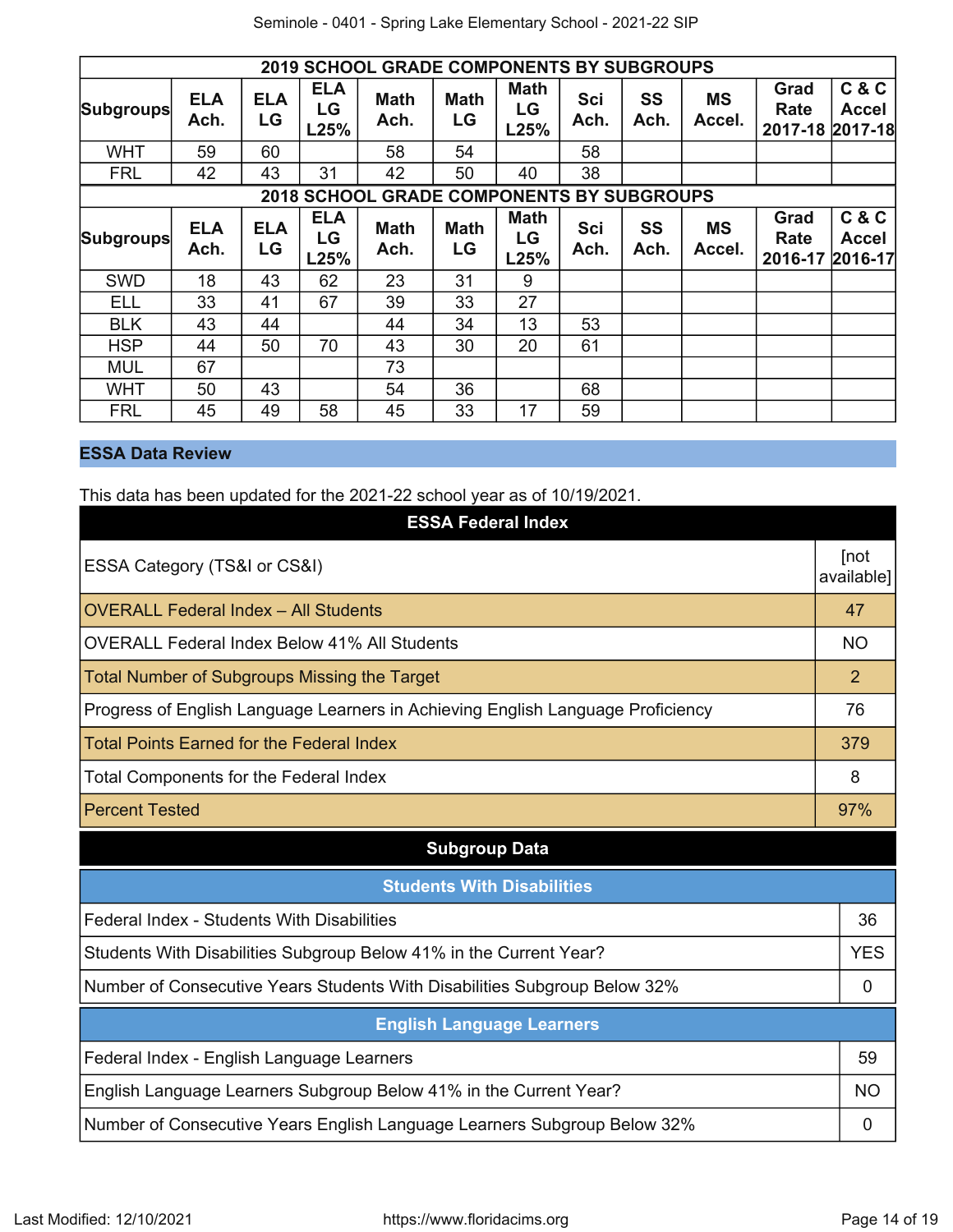|                  |                    |                  |                          | <b>2019 SCHOOL GRADE COMPONENTS BY SUBGROUPS</b> |                   |                           |                    |            |                     |                                 |                                  |
|------------------|--------------------|------------------|--------------------------|--------------------------------------------------|-------------------|---------------------------|--------------------|------------|---------------------|---------------------------------|----------------------------------|
| <b>Subgroups</b> | <b>ELA</b><br>Ach. | <b>ELA</b><br>LG | <b>ELA</b><br>LG<br>L25% | <b>Math</b><br>Ach.                              | <b>Math</b><br>LG | <b>Math</b><br>LG<br>L25% | Sci<br>Ach.        | SS<br>Ach. | <b>MS</b><br>Accel. | Grad<br>Rate<br>2017-18 2017-18 | C & C<br><b>Accel</b>            |
| <b>WHT</b>       | 59                 | 60               |                          | 58                                               | 54                |                           | 58                 |            |                     |                                 |                                  |
| <b>FRL</b>       | 42                 | 43               | 31                       | 42                                               | 50                | 40                        | 38                 |            |                     |                                 |                                  |
|                  |                    |                  |                          | <b>2018 SCHOOL GRADE COMPONENTS BY SUBGROUPS</b> |                   |                           |                    |            |                     |                                 |                                  |
| <b>Subgroups</b> | <b>ELA</b><br>Ach. | <b>ELA</b><br>LG | <b>ELA</b><br>LG<br>L25% | <b>Math</b><br>Ach.                              | <b>Math</b><br>LG | <b>Math</b><br>LG<br>L25% | <b>Sci</b><br>Ach. | SS<br>Ach. | <b>MS</b><br>Accel. | Grad<br>Rate<br>2016-17         | C & C<br><b>Accel</b><br>2016-17 |
| <b>SWD</b>       | 18                 | 43               | 62                       | 23                                               | 31                | 9                         |                    |            |                     |                                 |                                  |
| <b>ELL</b>       | 33                 | 41               | 67                       | 39                                               | 33                | 27                        |                    |            |                     |                                 |                                  |
| <b>BLK</b>       | 43                 | 44               |                          | 44                                               | 34                | 13                        | 53                 |            |                     |                                 |                                  |
| <b>HSP</b>       | 44                 | 50               | 70                       | 43                                               | 30                | 20                        | 61                 |            |                     |                                 |                                  |
| <b>MUL</b>       | 67                 |                  |                          | 73                                               |                   |                           |                    |            |                     |                                 |                                  |
| <b>WHT</b>       | 50                 | 43               |                          | 54                                               | 36                |                           | 68                 |            |                     |                                 |                                  |
| <b>FRL</b>       | 45                 | 49               | 58                       | 45                                               | 33                | 17                        | 59                 |            |                     |                                 |                                  |

## **ESSA Data Review**

This data has been updated for the 2021-22 school year as of 10/19/2021.

| <b>ESSA Federal Index</b>                                                       |                    |
|---------------------------------------------------------------------------------|--------------------|
| ESSA Category (TS&I or CS&I)                                                    | [not<br>available] |
| <b>OVERALL Federal Index - All Students</b>                                     | 47                 |
| OVERALL Federal Index Below 41% All Students                                    | <b>NO</b>          |
| <b>Total Number of Subgroups Missing the Target</b>                             | 2                  |
| Progress of English Language Learners in Achieving English Language Proficiency | 76                 |
| <b>Total Points Earned for the Federal Index</b>                                | 379                |
| Total Components for the Federal Index                                          | 8                  |
| <b>Percent Tested</b>                                                           | 97%                |
| <b>Subgroup Data</b>                                                            |                    |
| <b>Students With Disabilities</b>                                               |                    |
| Federal Index - Students With Disabilities                                      | 36                 |
| Students With Disabilities Subgroup Below 41% in the Current Year?              | <b>YES</b>         |
| Number of Consecutive Years Students With Disabilities Subgroup Below 32%       | 0                  |
| <b>English Language Learners</b>                                                |                    |
| Federal Index - English Language Learners                                       | 59                 |
| English Language Learners Subgroup Below 41% in the Current Year?               | NO.                |
| Number of Consecutive Years English Language Learners Subgroup Below 32%        | 0                  |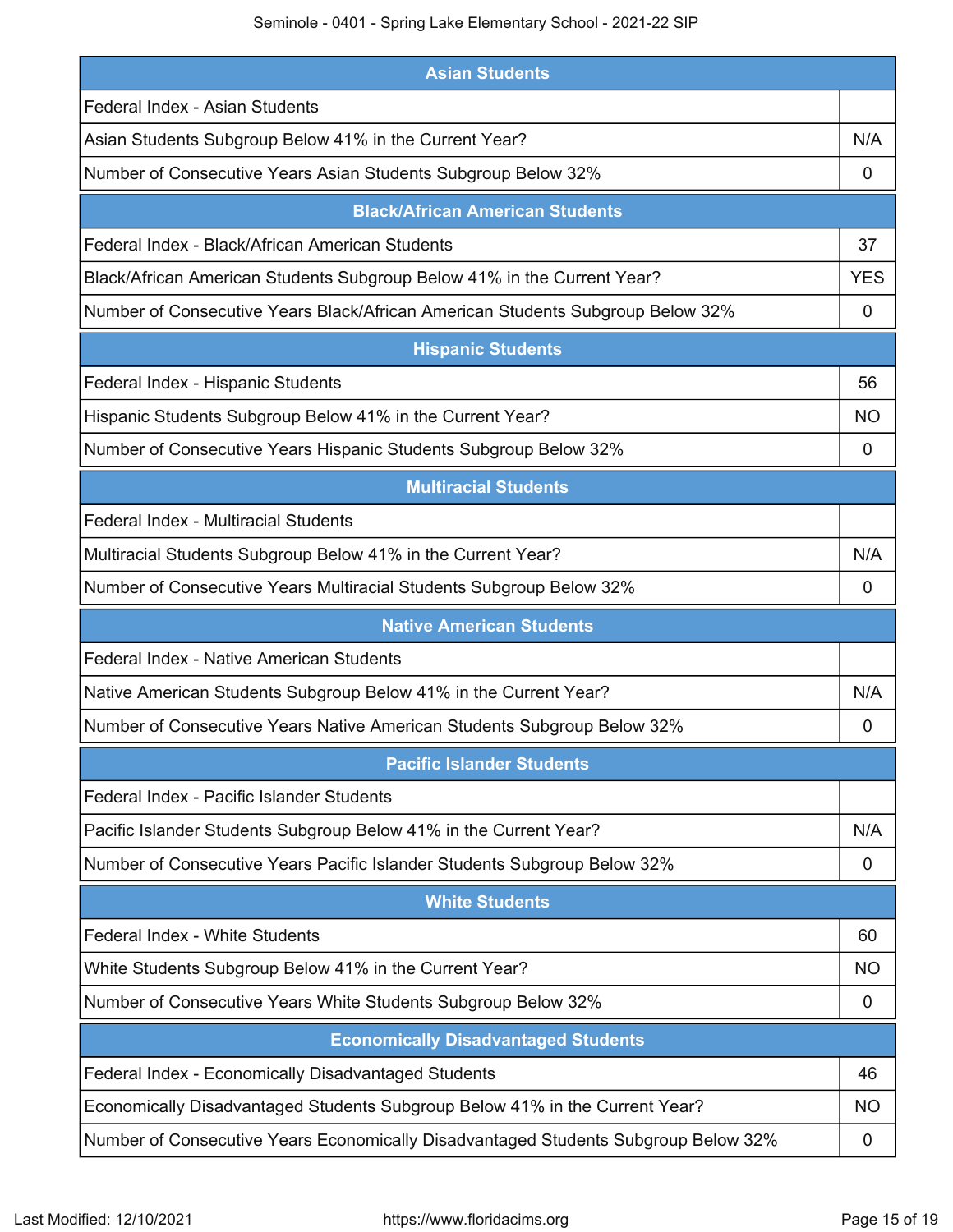Seminole - 0401 - Spring Lake Elementary School - 2021-22 SIP

| <b>Asian Students</b>                                                          |            |
|--------------------------------------------------------------------------------|------------|
| Federal Index - Asian Students                                                 |            |
| Asian Students Subgroup Below 41% in the Current Year?                         | N/A        |
| Number of Consecutive Years Asian Students Subgroup Below 32%                  | 0          |
| <b>Black/African American Students</b>                                         |            |
| Federal Index - Black/African American Students                                | 37         |
| Black/African American Students Subgroup Below 41% in the Current Year?        | <b>YES</b> |
| Number of Consecutive Years Black/African American Students Subgroup Below 32% | 0          |
| <b>Hispanic Students</b>                                                       |            |
| Federal Index - Hispanic Students                                              | 56         |
| Hispanic Students Subgroup Below 41% in the Current Year?                      | ΝO         |
| Number of Consecutive Years Hispanic Students Subgroup Below 32%               | 0          |
| <b>Multiracial Students</b>                                                    |            |
| Federal Index - Multiracial Students                                           |            |
| Multiracial Students Subgroup Below 41% in the Current Year?                   | N/A        |
| Number of Consecutive Years Multiracial Students Subgroup Below 32%            | 0          |
| <b>Native American Students</b>                                                |            |
|                                                                                |            |
| Federal Index - Native American Students                                       |            |
| Native American Students Subgroup Below 41% in the Current Year?               | N/A        |
| Number of Consecutive Years Native American Students Subgroup Below 32%        | 0          |
| <b>Pacific Islander Students</b>                                               |            |
| Federal Index - Pacific Islander Students                                      |            |
| Pacific Islander Students Subgroup Below 41% in the Current Year?              | N/A        |
| Number of Consecutive Years Pacific Islander Students Subgroup Below 32%       | 0          |
| <b>White Students</b>                                                          |            |
| Federal Index - White Students                                                 | 60         |
| White Students Subgroup Below 41% in the Current Year?                         | <b>NO</b>  |
| Number of Consecutive Years White Students Subgroup Below 32%                  | 0          |
| <b>Economically Disadvantaged Students</b>                                     |            |
| Federal Index - Economically Disadvantaged Students                            | 46         |
| Economically Disadvantaged Students Subgroup Below 41% in the Current Year?    | NO.        |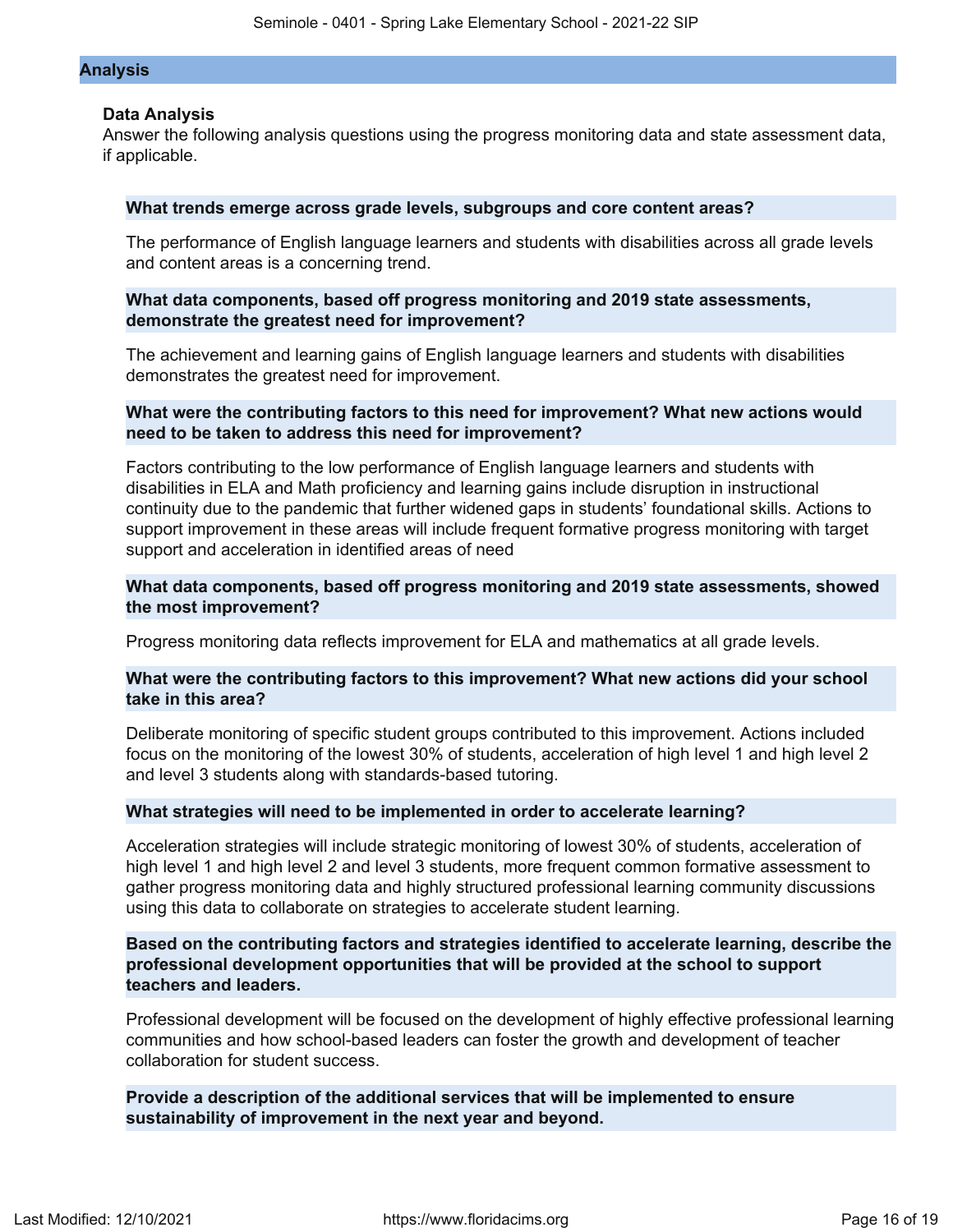#### **Analysis**

### **Data Analysis**

Answer the following analysis questions using the progress monitoring data and state assessment data, if applicable.

### **What trends emerge across grade levels, subgroups and core content areas?**

The performance of English language learners and students with disabilities across all grade levels and content areas is a concerning trend.

## **What data components, based off progress monitoring and 2019 state assessments, demonstrate the greatest need for improvement?**

The achievement and learning gains of English language learners and students with disabilities demonstrates the greatest need for improvement.

## **What were the contributing factors to this need for improvement? What new actions would need to be taken to address this need for improvement?**

Factors contributing to the low performance of English language learners and students with disabilities in ELA and Math proficiency and learning gains include disruption in instructional continuity due to the pandemic that further widened gaps in students' foundational skills. Actions to support improvement in these areas will include frequent formative progress monitoring with target support and acceleration in identified areas of need

## **What data components, based off progress monitoring and 2019 state assessments, showed the most improvement?**

Progress monitoring data reflects improvement for ELA and mathematics at all grade levels.

## **What were the contributing factors to this improvement? What new actions did your school take in this area?**

Deliberate monitoring of specific student groups contributed to this improvement. Actions included focus on the monitoring of the lowest 30% of students, acceleration of high level 1 and high level 2 and level 3 students along with standards-based tutoring.

#### **What strategies will need to be implemented in order to accelerate learning?**

Acceleration strategies will include strategic monitoring of lowest 30% of students, acceleration of high level 1 and high level 2 and level 3 students, more frequent common formative assessment to gather progress monitoring data and highly structured professional learning community discussions using this data to collaborate on strategies to accelerate student learning.

## **Based on the contributing factors and strategies identified to accelerate learning, describe the professional development opportunities that will be provided at the school to support teachers and leaders.**

Professional development will be focused on the development of highly effective professional learning communities and how school-based leaders can foster the growth and development of teacher collaboration for student success.

## **Provide a description of the additional services that will be implemented to ensure sustainability of improvement in the next year and beyond.**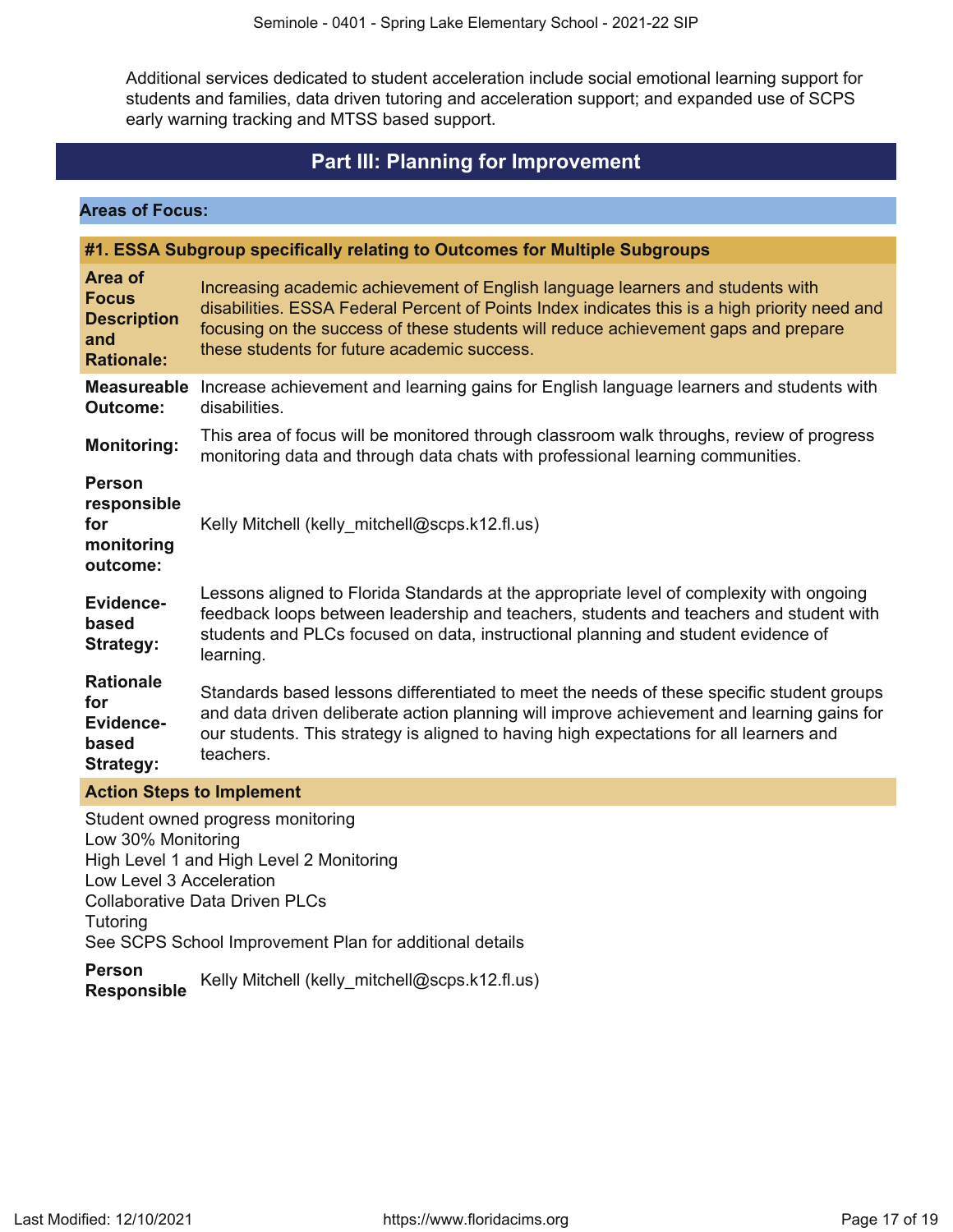Additional services dedicated to student acceleration include social emotional learning support for students and families, data driven tutoring and acceleration support; and expanded use of SCPS early warning tracking and MTSS based support.

## **Part III: Planning for Improvement**

<span id="page-16-0"></span>**Areas of Focus:**

|                                                                           | #1. ESSA Subgroup specifically relating to Outcomes for Multiple Subgroups                                                                                                                                                                                                                                           |
|---------------------------------------------------------------------------|----------------------------------------------------------------------------------------------------------------------------------------------------------------------------------------------------------------------------------------------------------------------------------------------------------------------|
| Area of<br><b>Focus</b><br><b>Description</b><br>and<br><b>Rationale:</b> | Increasing academic achievement of English language learners and students with<br>disabilities. ESSA Federal Percent of Points Index indicates this is a high priority need and<br>focusing on the success of these students will reduce achievement gaps and prepare<br>these students for future academic success. |
| <b>Measureable</b><br><b>Outcome:</b>                                     | Increase achievement and learning gains for English language learners and students with<br>disabilities.                                                                                                                                                                                                             |
| <b>Monitoring:</b>                                                        | This area of focus will be monitored through classroom walk throughs, review of progress<br>monitoring data and through data chats with professional learning communities.                                                                                                                                           |
| <b>Person</b><br>responsible<br>for<br>monitoring<br>outcome:             | Kelly Mitchell (kelly_mitchell@scps.k12.fl.us)                                                                                                                                                                                                                                                                       |
| Evidence-<br>based<br><b>Strategy:</b>                                    | Lessons aligned to Florida Standards at the appropriate level of complexity with ongoing<br>feedback loops between leadership and teachers, students and teachers and student with<br>students and PLCs focused on data, instructional planning and student evidence of<br>learning.                                 |
| <b>Rationale</b><br>for<br>Evidence-<br>based<br><b>Strategy:</b>         | Standards based lessons differentiated to meet the needs of these specific student groups<br>and data driven deliberate action planning will improve achievement and learning gains for<br>our students. This strategy is aligned to having high expectations for all learners and<br>teachers.                      |
| <b>Action Steps to Implement</b>                                          |                                                                                                                                                                                                                                                                                                                      |

Student owned progress monitoring Low 30% Monitoring High Level 1 and High Level 2 Monitoring Low Level 3 Acceleration Collaborative Data Driven PLCs **Tutoring** See SCPS School Improvement Plan for additional details

**Person Responsible** Kelly Mitchell (kelly\_mitchell@scps.k12.fl.us)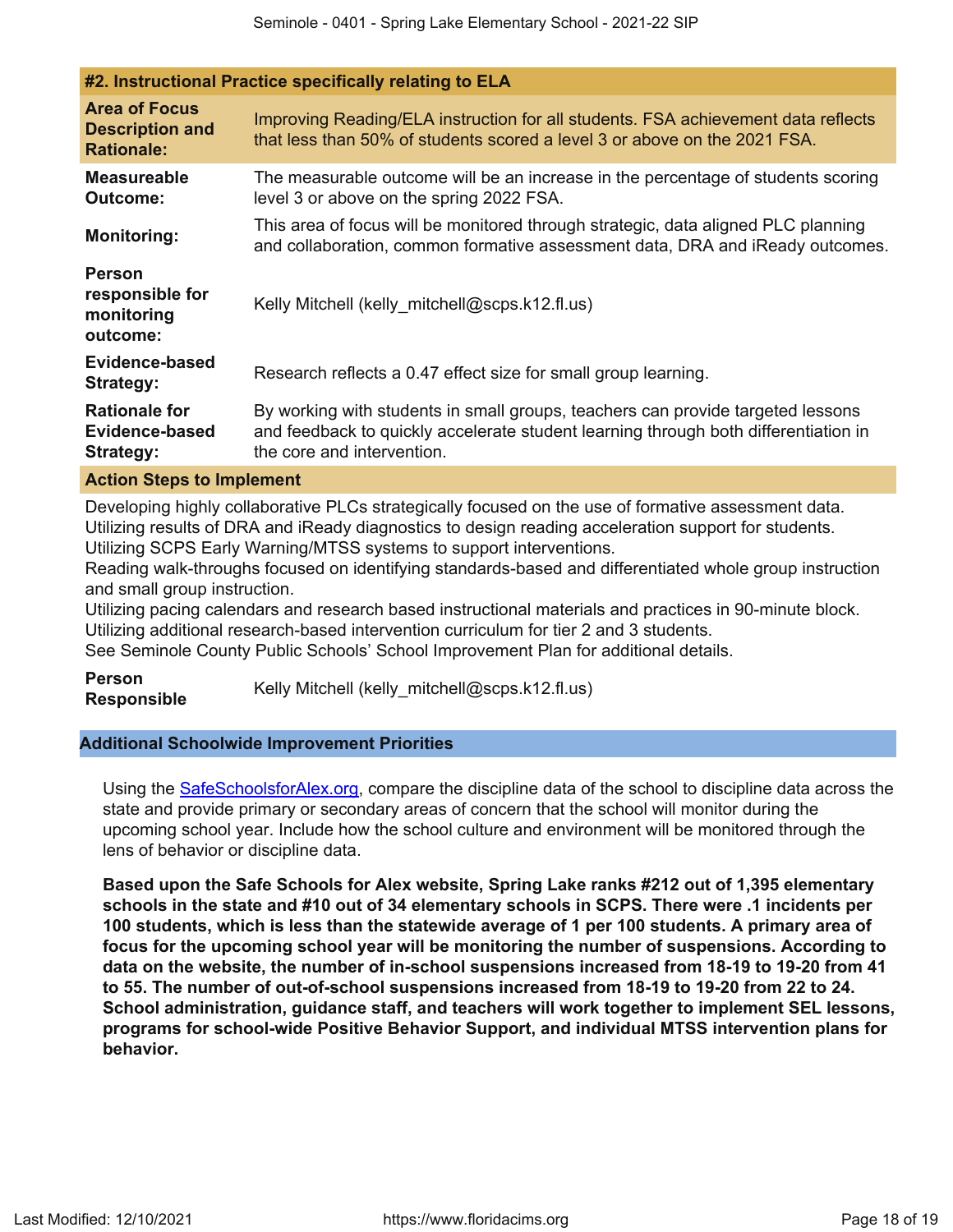| #2. Instructional Practice specifically relating to ELA             |                                                                                                                                                                                                      |
|---------------------------------------------------------------------|------------------------------------------------------------------------------------------------------------------------------------------------------------------------------------------------------|
| <b>Area of Focus</b><br><b>Description and</b><br><b>Rationale:</b> | Improving Reading/ELA instruction for all students. FSA achievement data reflects<br>that less than 50% of students scored a level 3 or above on the 2021 FSA.                                       |
| <b>Measureable</b><br><b>Outcome:</b>                               | The measurable outcome will be an increase in the percentage of students scoring<br>level 3 or above on the spring 2022 FSA.                                                                         |
| <b>Monitoring:</b>                                                  | This area of focus will be monitored through strategic, data aligned PLC planning<br>and collaboration, common formative assessment data, DRA and iReady outcomes.                                   |
| <b>Person</b><br>responsible for<br>monitoring<br>outcome:          | Kelly Mitchell (kelly mitchell@scps.k12.fl.us)                                                                                                                                                       |
| Evidence-based<br>Strategy:                                         | Research reflects a 0.47 effect size for small group learning.                                                                                                                                       |
| <b>Rationale for</b><br>Evidence-based<br>Strategy:                 | By working with students in small groups, teachers can provide targeted lessons<br>and feedback to quickly accelerate student learning through both differentiation in<br>the core and intervention. |
| Action Stone to Implament                                           |                                                                                                                                                                                                      |

### **Action Steps to Implement**

Developing highly collaborative PLCs strategically focused on the use of formative assessment data. Utilizing results of DRA and iReady diagnostics to design reading acceleration support for students. Utilizing SCPS Early Warning/MTSS systems to support interventions.

Reading walk-throughs focused on identifying standards-based and differentiated whole group instruction and small group instruction.

Utilizing pacing calendars and research based instructional materials and practices in 90-minute block. Utilizing additional research-based intervention curriculum for tier 2 and 3 students.

See Seminole County Public Schools' School Improvement Plan for additional details.

**Person Responsible** Kelly Mitchell (kelly\_mitchell@scps.k12.fl.us)

## **Additional Schoolwide Improvement Priorities**

Using the [SafeSchoolsforAlex.org](https://www.safeschoolsforalex.org/fl-school-safety-dashboard/), compare the discipline data of the school to discipline data across the state and provide primary or secondary areas of concern that the school will monitor during the upcoming school year. Include how the school culture and environment will be monitored through the lens of behavior or discipline data.

**Based upon the Safe Schools for Alex website, Spring Lake ranks #212 out of 1,395 elementary schools in the state and #10 out of 34 elementary schools in SCPS. There were .1 incidents per 100 students, which is less than the statewide average of 1 per 100 students. A primary area of focus for the upcoming school year will be monitoring the number of suspensions. According to data on the website, the number of in-school suspensions increased from 18-19 to 19-20 from 41 to 55. The number of out-of-school suspensions increased from 18-19 to 19-20 from 22 to 24. School administration, guidance staff, and teachers will work together to implement SEL lessons, programs for school-wide Positive Behavior Support, and individual MTSS intervention plans for behavior.**